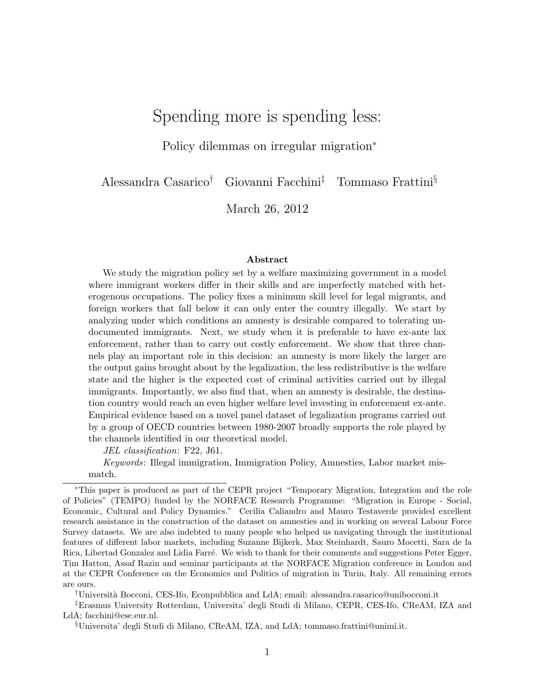# Spending more is spending less:

Policy dilemmas on irregular migration*<sup>∗</sup>*

Alessandra Casarico*†* Giovanni Facchini*‡* Tommaso Frattini*§*

March 26, 2012

#### **Abstract**

We study the migration policy set by a welfare maximizing government in a model where immigrant workers differ in their skills and are imperfectly matched with heterogenous occupations. The policy fixes a minimum skill level for legal migrants, and foreign workers that fall below it can only enter the country illegally. We start by analyzing under which conditions an amnesty is desirable compared to tolerating undocumented immigrants. Next, we study when it is preferable to have ex-ante lax enforcement, rather than to carry out costly enforcement. We show that three channels play an important role in this decision: an amnesty is more likely the larger are the output gains brought about by the legalization, the less redistributive is the welfare state and the higher is the expected cost of criminal activities carried out by illegal immigrants. Importantly, we also find that, when an amnesty is desirable, the destination country would reach an even higher welfare level investing in enforcement ex-ante. Empirical evidence based on a novel panel dataset of legalization programs carried out by a group of OECD countries between 1980-2007 broadly supports the role played by the channels identified in our theoretical model.

*JEL classification*: F22, J61.

*Keywords*: Illegal immigration, Immigration Policy, Amnesties, Labor market mismatch.

*†*Universit`a Bocconi, CES-Ifo, Econpubblica and LdA; email: alessandra.casarico@unibocconi.it

*‡*Erasmus University Rotterdam, Universita' degli Studi di Milano, CEPR, CES-Ifo, CReAM, IZA and LdA; facchini@ese.eur.nl.

*§*Universita' degli Studi di Milano, CReAM, IZA, and LdA; tommaso.frattini@unimi.it.

*<sup>∗</sup>*This paper is produced as part of the CEPR project "Temporary Migration, Integration and the role of Policies" (TEMPO) funded by the NORFACE Research Programme: "Migration in Europe - Social, Economic, Cultural and Policy Dynamics." Cecilia Caliandro and Mauro Testaverde provided excellent research assistance in the construction of the dataset on amnesties and in working on several Labour Force Survey datasets. We are also indebted to many people who helped us navigating through the institutional features of different labor markets, including Suzanne Bijkerk, Max Steinhardt, Sauro Mocetti, Sara de la Rica, Libertad Gonzalez and Lidia Farré. We wish to thank for their comments and suggestions Peter Egger, Tim Hatton, Assaf Razin and seminar participants at the NORFACE Migration conference in London and at the CEPR Conference on the Economics and Politics of migration in Turin, Italy. All remaining errors are ours.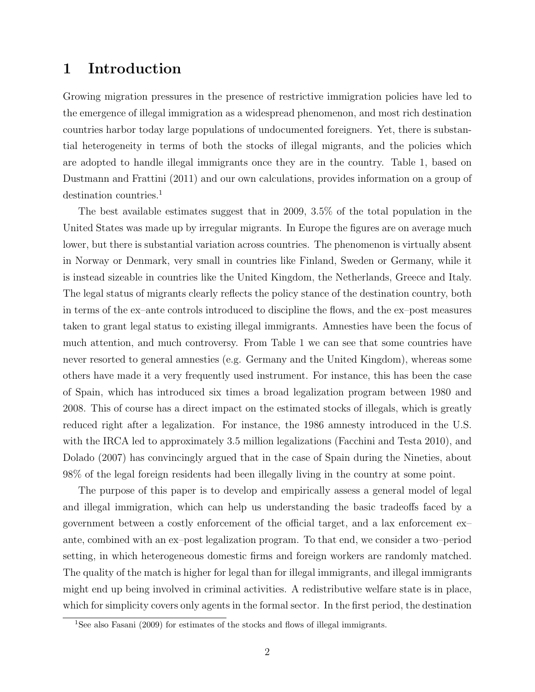## **1 Introduction**

Growing migration pressures in the presence of restrictive immigration policies have led to the emergence of illegal immigration as a widespread phenomenon, and most rich destination countries harbor today large populations of undocumented foreigners. Yet, there is substantial heterogeneity in terms of both the stocks of illegal migrants, and the policies which are adopted to handle illegal immigrants once they are in the country. Table 1, based on Dustmann and Frattini (2011) and our own calculations, provides information on a group of destination countries.<sup>1</sup>

The best available estimates suggest that in 2009, 3.5% of the total population in the United States was made up by irregular migrants. In Europe the figures are on average much lower, but there is substantial variation across countries. The phenomenon is virtually absent in Norway or Denmark, very small in countries like Finland, Sweden or Germany, while it is instead sizeable in countries like the United Kingdom, the Netherlands, Greece and Italy. The legal status of migrants clearly reflects the policy stance of the destination country, both in terms of the ex–ante controls introduced to discipline the flows, and the ex–post measures taken to grant legal status to existing illegal immigrants. Amnesties have been the focus of much attention, and much controversy. From Table 1 we can see that some countries have never resorted to general amnesties (e.g. Germany and the United Kingdom), whereas some others have made it a very frequently used instrument. For instance, this has been the case of Spain, which has introduced six times a broad legalization program between 1980 and 2008. This of course has a direct impact on the estimated stocks of illegals, which is greatly reduced right after a legalization. For instance, the 1986 amnesty introduced in the U.S. with the IRCA led to approximately 3.5 million legalizations (Facchini and Testa 2010), and Dolado (2007) has convincingly argued that in the case of Spain during the Nineties, about 98% of the legal foreign residents had been illegally living in the country at some point.

The purpose of this paper is to develop and empirically assess a general model of legal and illegal immigration, which can help us understanding the basic tradeoffs faced by a government between a costly enforcement of the official target, and a lax enforcement ex– ante, combined with an ex–post legalization program. To that end, we consider a two–period setting, in which heterogeneous domestic firms and foreign workers are randomly matched. The quality of the match is higher for legal than for illegal immigrants, and illegal immigrants might end up being involved in criminal activities. A redistributive welfare state is in place, which for simplicity covers only agents in the formal sector. In the first period, the destination

<sup>&</sup>lt;sup>1</sup>See also Fasani (2009) for estimates of the stocks and flows of illegal immigrants.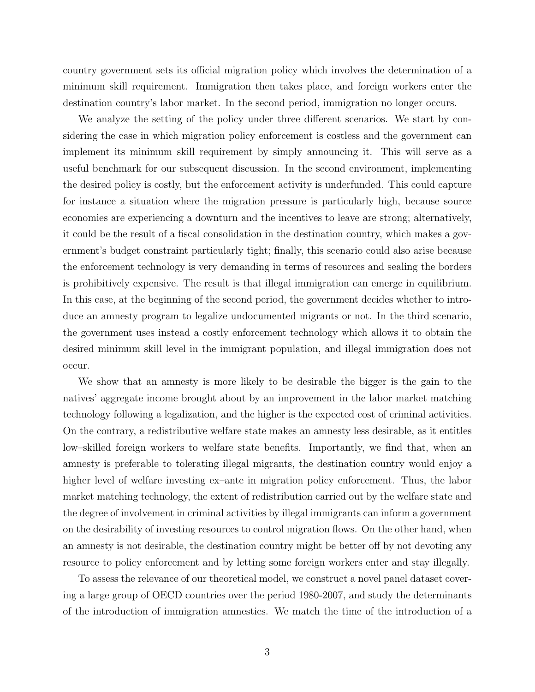country government sets its official migration policy which involves the determination of a minimum skill requirement. Immigration then takes place, and foreign workers enter the destination country's labor market. In the second period, immigration no longer occurs.

We analyze the setting of the policy under three different scenarios. We start by considering the case in which migration policy enforcement is costless and the government can implement its minimum skill requirement by simply announcing it. This will serve as a useful benchmark for our subsequent discussion. In the second environment, implementing the desired policy is costly, but the enforcement activity is underfunded. This could capture for instance a situation where the migration pressure is particularly high, because source economies are experiencing a downturn and the incentives to leave are strong; alternatively, it could be the result of a fiscal consolidation in the destination country, which makes a government's budget constraint particularly tight; finally, this scenario could also arise because the enforcement technology is very demanding in terms of resources and sealing the borders is prohibitively expensive. The result is that illegal immigration can emerge in equilibrium. In this case, at the beginning of the second period, the government decides whether to introduce an amnesty program to legalize undocumented migrants or not. In the third scenario, the government uses instead a costly enforcement technology which allows it to obtain the desired minimum skill level in the immigrant population, and illegal immigration does not occur.

We show that an amnesty is more likely to be desirable the bigger is the gain to the natives' aggregate income brought about by an improvement in the labor market matching technology following a legalization, and the higher is the expected cost of criminal activities. On the contrary, a redistributive welfare state makes an amnesty less desirable, as it entitles low–skilled foreign workers to welfare state benefits. Importantly, we find that, when an amnesty is preferable to tolerating illegal migrants, the destination country would enjoy a higher level of welfare investing ex–ante in migration policy enforcement. Thus, the labor market matching technology, the extent of redistribution carried out by the welfare state and the degree of involvement in criminal activities by illegal immigrants can inform a government on the desirability of investing resources to control migration flows. On the other hand, when an amnesty is not desirable, the destination country might be better off by not devoting any resource to policy enforcement and by letting some foreign workers enter and stay illegally.

To assess the relevance of our theoretical model, we construct a novel panel dataset covering a large group of OECD countries over the period 1980-2007, and study the determinants of the introduction of immigration amnesties. We match the time of the introduction of a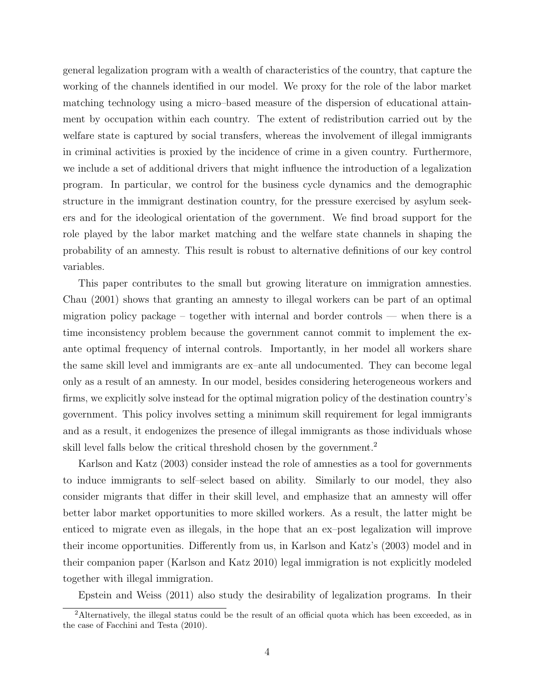general legalization program with a wealth of characteristics of the country, that capture the working of the channels identified in our model. We proxy for the role of the labor market matching technology using a micro–based measure of the dispersion of educational attainment by occupation within each country. The extent of redistribution carried out by the welfare state is captured by social transfers, whereas the involvement of illegal immigrants in criminal activities is proxied by the incidence of crime in a given country. Furthermore, we include a set of additional drivers that might influence the introduction of a legalization program. In particular, we control for the business cycle dynamics and the demographic structure in the immigrant destination country, for the pressure exercised by asylum seekers and for the ideological orientation of the government. We find broad support for the role played by the labor market matching and the welfare state channels in shaping the probability of an amnesty. This result is robust to alternative definitions of our key control variables.

This paper contributes to the small but growing literature on immigration amnesties. Chau (2001) shows that granting an amnesty to illegal workers can be part of an optimal migration policy package – together with internal and border controls — when there is a time inconsistency problem because the government cannot commit to implement the exante optimal frequency of internal controls. Importantly, in her model all workers share the same skill level and immigrants are ex–ante all undocumented. They can become legal only as a result of an amnesty. In our model, besides considering heterogeneous workers and firms, we explicitly solve instead for the optimal migration policy of the destination country's government. This policy involves setting a minimum skill requirement for legal immigrants and as a result, it endogenizes the presence of illegal immigrants as those individuals whose skill level falls below the critical threshold chosen by the government.<sup>2</sup>

Karlson and Katz (2003) consider instead the role of amnesties as a tool for governments to induce immigrants to self–select based on ability. Similarly to our model, they also consider migrants that differ in their skill level, and emphasize that an amnesty will offer better labor market opportunities to more skilled workers. As a result, the latter might be enticed to migrate even as illegals, in the hope that an ex–post legalization will improve their income opportunities. Differently from us, in Karlson and Katz's (2003) model and in their companion paper (Karlson and Katz 2010) legal immigration is not explicitly modeled together with illegal immigration.

Epstein and Weiss (2011) also study the desirability of legalization programs. In their

<sup>2</sup>Alternatively, the illegal status could be the result of an official quota which has been exceeded, as in the case of Facchini and Testa (2010).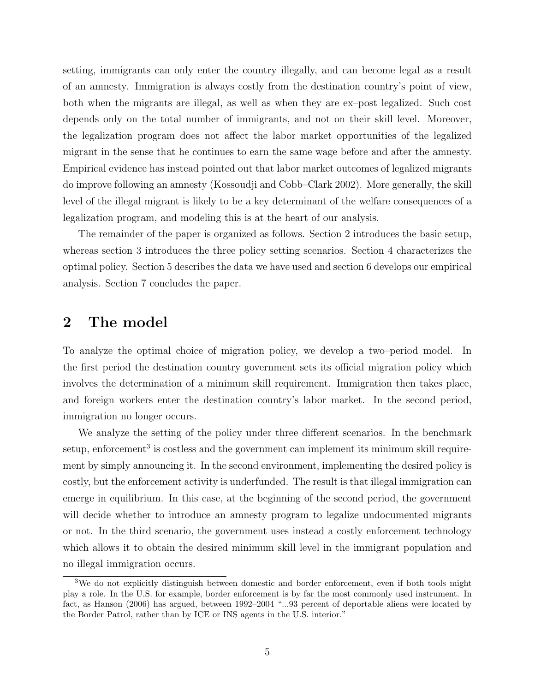setting, immigrants can only enter the country illegally, and can become legal as a result of an amnesty. Immigration is always costly from the destination country's point of view, both when the migrants are illegal, as well as when they are ex–post legalized. Such cost depends only on the total number of immigrants, and not on their skill level. Moreover, the legalization program does not affect the labor market opportunities of the legalized migrant in the sense that he continues to earn the same wage before and after the amnesty. Empirical evidence has instead pointed out that labor market outcomes of legalized migrants do improve following an amnesty (Kossoudji and Cobb–Clark 2002). More generally, the skill level of the illegal migrant is likely to be a key determinant of the welfare consequences of a legalization program, and modeling this is at the heart of our analysis.

The remainder of the paper is organized as follows. Section 2 introduces the basic setup, whereas section 3 introduces the three policy setting scenarios. Section 4 characterizes the optimal policy. Section 5 describes the data we have used and section 6 develops our empirical analysis. Section 7 concludes the paper.

### **2 The model**

To analyze the optimal choice of migration policy, we develop a two–period model. In the first period the destination country government sets its official migration policy which involves the determination of a minimum skill requirement. Immigration then takes place, and foreign workers enter the destination country's labor market. In the second period, immigration no longer occurs.

We analyze the setting of the policy under three different scenarios. In the benchmark setup, enforcement<sup>3</sup> is costless and the government can implement its minimum skill requirement by simply announcing it. In the second environment, implementing the desired policy is costly, but the enforcement activity is underfunded. The result is that illegal immigration can emerge in equilibrium. In this case, at the beginning of the second period, the government will decide whether to introduce an amnesty program to legalize undocumented migrants or not. In the third scenario, the government uses instead a costly enforcement technology which allows it to obtain the desired minimum skill level in the immigrant population and no illegal immigration occurs.

<sup>&</sup>lt;sup>3</sup>We do not explicitly distinguish between domestic and border enforcement, even if both tools might play a role. In the U.S. for example, border enforcement is by far the most commonly used instrument. In fact, as Hanson (2006) has argued, between 1992–2004 "...93 percent of deportable aliens were located by the Border Patrol, rather than by ICE or INS agents in the U.S. interior."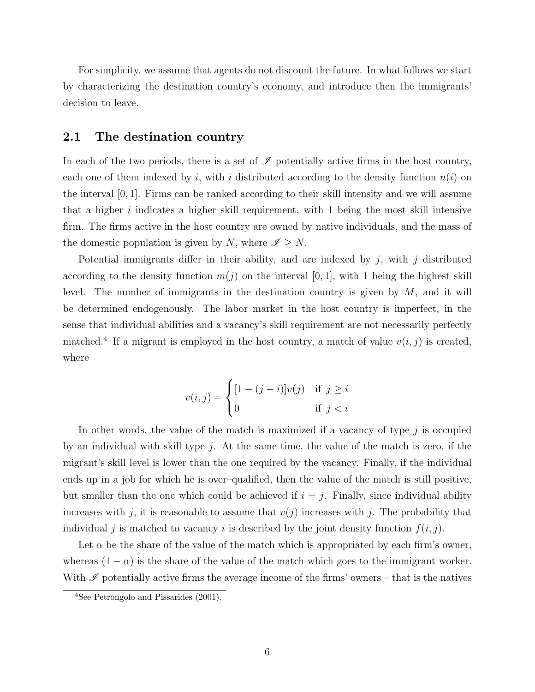For simplicity, we assume that agents do not discount the future. In what follows we start by characterizing the destination country's economy, and introduce then the immigrants' decision to leave.

#### **2.1 The destination country**

In each of the two periods, there is a set of  $\mathscr I$  potentially active firms in the host country, each one of them indexed by *i*, with *i* distributed according to the density function  $n(i)$  on the interval [0*,* 1]. Firms can be ranked according to their skill intensity and we will assume that a higher *i* indicates a higher skill requirement, with 1 being the most skill intensive firm. The firms active in the host country are owned by native individuals, and the mass of the domestic population is given by *N*, where  $\mathscr{I} \geq N$ .

Potential immigrants differ in their ability, and are indexed by *j*, with *j* distributed according to the density function  $m(j)$  on the interval [0, 1], with 1 being the highest skill level. The number of immigrants in the destination country is given by *M*, and it will be determined endogenously. The labor market in the host country is imperfect, in the sense that individual abilities and a vacancy's skill requirement are not necessarily perfectly matched.<sup>4</sup> If a migrant is employed in the host country, a match of value  $v(i, j)$  is created, where

$$
v(i,j) = \begin{cases} [1 - (j - i)]v(j) & \text{if } j \ge i \\ 0 & \text{if } j < i \end{cases}
$$

In other words, the value of the match is maximized if a vacancy of type *j* is occupied by an individual with skill type *j*. At the same time, the value of the match is zero, if the migrant's skill level is lower than the one required by the vacancy. Finally, if the individual ends up in a job for which he is over–qualified, then the value of the match is still positive, but smaller than the one which could be achieved if  $i = j$ . Finally, since individual ability increases with *j*, it is reasonable to assume that  $v(j)$  increases with *j*. The probability that individual *j* is matched to vacancy *i* is described by the joint density function  $f(i, j)$ .

Let  $\alpha$  be the share of the value of the match which is appropriated by each firm's owner, whereas  $(1 - \alpha)$  is the share of the value of the match which goes to the immigrant worker. With  $\mathscr I$  potentially active firms the average income of the firms' owners – that is the natives

<sup>4</sup>See Petrongolo and Pissarides (2001).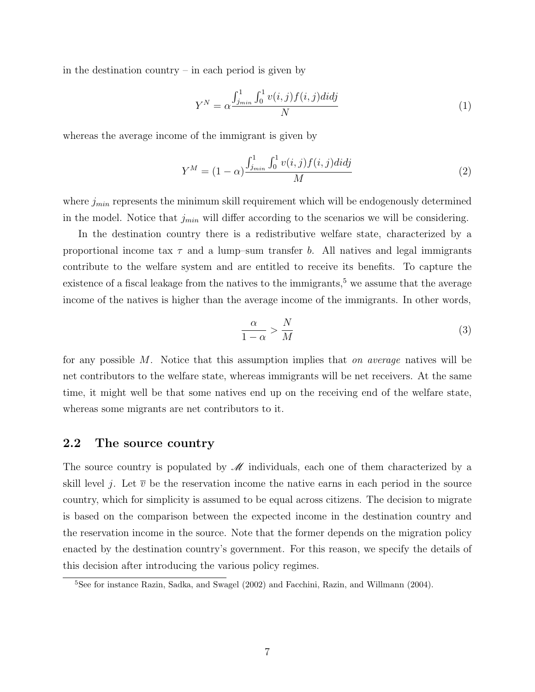in the destination country – in each period is given by

$$
Y^{N} = \alpha \frac{\int_{j_{min}}^{1} \int_{0}^{1} v(i,j) f(i,j) \, dij}{N} \tag{1}
$$

whereas the average income of the immigrant is given by

$$
Y^{M} = (1 - \alpha) \frac{\int_{j_{min}}^{1} \int_{0}^{1} v(i, j) f(i, j) di d j}{M}
$$
 (2)

where  $j_{min}$  represents the minimum skill requirement which will be endogenously determined in the model. Notice that *jmin* will differ according to the scenarios we will be considering.

In the destination country there is a redistributive welfare state, characterized by a proportional income tax  $\tau$  and a lump–sum transfer *b*. All natives and legal immigrants contribute to the welfare system and are entitled to receive its benefits. To capture the existence of a fiscal leakage from the natives to the immigrants,<sup>5</sup> we assume that the average income of the natives is higher than the average income of the immigrants. In other words,

$$
\frac{\alpha}{1-\alpha} > \frac{N}{M} \tag{3}
$$

for any possible *M*. Notice that this assumption implies that *on average* natives will be net contributors to the welfare state, whereas immigrants will be net receivers. At the same time, it might well be that some natives end up on the receiving end of the welfare state, whereas some migrants are net contributors to it.

#### **2.2 The source country**

The source country is populated by *M* individuals, each one of them characterized by a skill level *j*. Let  $\bar{v}$  be the reservation income the native earns in each period in the source country, which for simplicity is assumed to be equal across citizens. The decision to migrate is based on the comparison between the expected income in the destination country and the reservation income in the source. Note that the former depends on the migration policy enacted by the destination country's government. For this reason, we specify the details of this decision after introducing the various policy regimes.

<sup>5</sup>See for instance Razin, Sadka, and Swagel (2002) and Facchini, Razin, and Willmann (2004).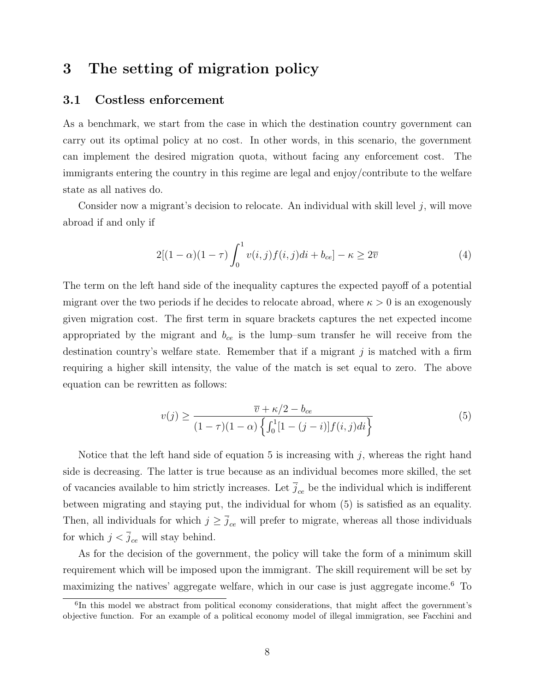# **3 The setting of migration policy**

#### **3.1 Costless enforcement**

As a benchmark, we start from the case in which the destination country government can carry out its optimal policy at no cost. In other words, in this scenario, the government can implement the desired migration quota, without facing any enforcement cost. The immigrants entering the country in this regime are legal and enjoy/contribute to the welfare state as all natives do.

Consider now a migrant's decision to relocate. An individual with skill level *j*, will move abroad if and only if

$$
2[(1-\alpha)(1-\tau)\int_0^1 v(i,j)f(i,j)di + b_{ce}] - \kappa \ge 2\overline{v}
$$
\n(4)

The term on the left hand side of the inequality captures the expected payoff of a potential migrant over the two periods if he decides to relocate abroad, where  $\kappa > 0$  is an exogenously given migration cost. The first term in square brackets captures the net expected income appropriated by the migrant and *bce* is the lump–sum transfer he will receive from the destination country's welfare state. Remember that if a migrant *j* is matched with a firm requiring a higher skill intensity, the value of the match is set equal to zero. The above equation can be rewritten as follows:

$$
v(j) \ge \frac{\overline{v} + \kappa/2 - b_{ce}}{(1 - \tau)(1 - \alpha) \left\{ \int_0^1 [1 - (j - i)] f(i, j) di \right\}} \tag{5}
$$

Notice that the left hand side of equation 5 is increasing with *j*, whereas the right hand side is decreasing. The latter is true because as an individual becomes more skilled, the set of vacancies available to him strictly increases. Let  $\bar{j}_{ce}$  be the individual which is indifferent between migrating and staying put, the individual for whom (5) is satisfied as an equality. Then, all individuals for which  $j \geq \overline{j}_{ce}$  will prefer to migrate, whereas all those individuals for which  $j < \overline{j}_{ce}$  will stay behind.

As for the decision of the government, the policy will take the form of a minimum skill requirement which will be imposed upon the immigrant. The skill requirement will be set by maximizing the natives' aggregate welfare, which in our case is just aggregate income.<sup>6</sup> To

<sup>&</sup>lt;sup>6</sup>In this model we abstract from political economy considerations, that might affect the government's objective function. For an example of a political economy model of illegal immigration, see Facchini and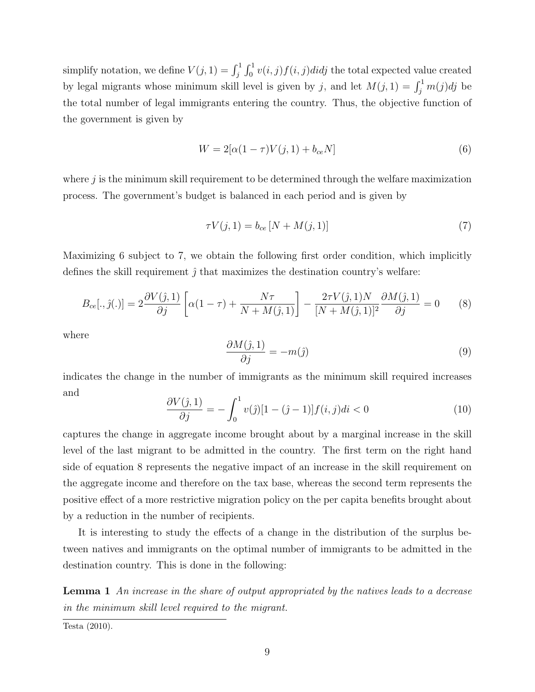simplify notation, we define  $V(j, 1) = \int_j^1 \int_0^1 v(i, j) f(i, j) \, di \, dj$  the total expected value created by legal migrants whose minimum skill level is given by *j*, and let  $M(j, 1) = \int_j^1 m(j)dj$  be the total number of legal immigrants entering the country. Thus, the objective function of the government is given by

$$
W = 2[\alpha(1-\tau)V(j,1) + b_{ce}N]
$$
\n(6)

where *j* is the minimum skill requirement to be determined through the welfare maximization process. The government's budget is balanced in each period and is given by

$$
\tau V(j,1) = b_{ce} [N + M(j,1)] \tag{7}
$$

Maximizing 6 subject to 7, we obtain the following first order condition, which implicitly defines the skill requirement  $\hat{j}$  that maximizes the destination country's welfare:

$$
B_{ce}[.,\hat{j}(.)] = 2\frac{\partial V(\hat{j},1)}{\partial j} \left[ \alpha(1-\tau) + \frac{N\tau}{N+M(\hat{j},1)} \right] - \frac{2\tau V(\hat{j},1)N}{[N+M(\hat{j},1)]^2} \frac{\partial M(\hat{j},1)}{\partial j} = 0 \tag{8}
$$

where

$$
\frac{\partial M(\hat{\jmath},1)}{\partial j} = -m(\hat{\jmath})\tag{9}
$$

indicates the change in the number of immigrants as the minimum skill required increases and

$$
\frac{\partial V(j,1)}{\partial j} = -\int_0^1 v(j)[1-(j-1)]f(i,j)di < 0 \tag{10}
$$

captures the change in aggregate income brought about by a marginal increase in the skill level of the last migrant to be admitted in the country. The first term on the right hand side of equation 8 represents the negative impact of an increase in the skill requirement on the aggregate income and therefore on the tax base, whereas the second term represents the positive effect of a more restrictive migration policy on the per capita benefits brought about by a reduction in the number of recipients.

It is interesting to study the effects of a change in the distribution of the surplus between natives and immigrants on the optimal number of immigrants to be admitted in the destination country. This is done in the following:

**Lemma 1** *An increase in the share of output appropriated by the natives leads to a decrease in the minimum skill level required to the migrant.*

Testa (2010).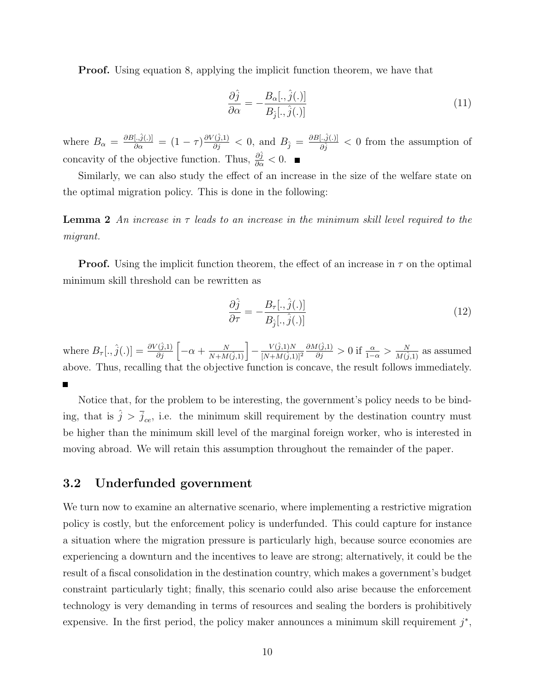**Proof.** Using equation 8, applying the implicit function theorem, we have that

$$
\frac{\partial \hat{j}}{\partial \alpha} = -\frac{B_{\alpha}[\cdot, \hat{j}(\cdot)]}{B_{\hat{j}}[\cdot, \hat{j}(\cdot)]}
$$
(11)

where  $B_{\alpha} = \frac{\partial B[.,\hat{j}(.)]}{\partial \alpha} = (1 - \tau) \frac{\partial V(\hat{j},1)}{\partial \hat{j}} < 0$ , and  $B_{\hat{j}} = \frac{\partial B[.,\hat{j}(.)]}{\partial \hat{j}}$ *∂*ˆ*j <* 0 from the assumption of concavity of the objective function. Thus,  $\frac{\partial \hat{j}}{\partial \alpha} < 0$ .

Similarly, we can also study the effect of an increase in the size of the welfare state on the optimal migration policy. This is done in the following:

**Lemma 2** *An increase in τ leads to an increase in the minimum skill level required to the migrant.*

**Proof.** Using the implicit function theorem, the effect of an increase in  $\tau$  on the optimal minimum skill threshold can be rewritten as

$$
\frac{\partial \hat{j}}{\partial \tau} = -\frac{B_{\tau}[.,\hat{j}(.)]}{B_{\hat{j}}[.,\hat{j}(.)]}
$$
(12)

where  $B_{\tau}$ [.,  $\hat{j}$ (.)] =  $\frac{\partial V(\hat{j},1)}{\partial j}$   $\left[ -\alpha + \frac{N}{N+M(\hat{j},1)} \right] - \frac{V(\hat{j},1)N}{[N+M(\hat{j},1)}$  $[N+M(\hat{j},1)]^2$  $\frac{\partial M(\hat{j},1)}{\partial j} > 0$  if  $\frac{\alpha}{1-\alpha} > \frac{N}{M(\hat{j},1)}$  as assumed above. Thus, recalling that the objective function is concave, the result follows immediately.

Notice that, for the problem to be interesting, the government's policy needs to be binding, that is  $\hat{j} > \bar{j}_{ce}$ , i.e. the minimum skill requirement by the destination country must be higher than the minimum skill level of the marginal foreign worker, who is interested in moving abroad. We will retain this assumption throughout the remainder of the paper.

#### **3.2 Underfunded government**

We turn now to examine an alternative scenario, where implementing a restrictive migration policy is costly, but the enforcement policy is underfunded. This could capture for instance a situation where the migration pressure is particularly high, because source economies are experiencing a downturn and the incentives to leave are strong; alternatively, it could be the result of a fiscal consolidation in the destination country, which makes a government's budget constraint particularly tight; finally, this scenario could also arise because the enforcement technology is very demanding in terms of resources and sealing the borders is prohibitively expensive. In the first period, the policy maker announces a minimum skill requirement *j ∗* ,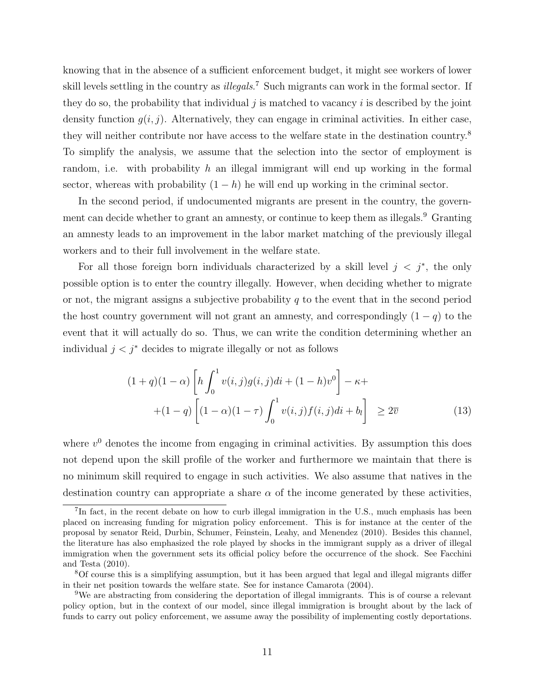knowing that in the absence of a sufficient enforcement budget, it might see workers of lower skill levels settling in the country as *illegals*. <sup>7</sup> Such migrants can work in the formal sector. If they do so, the probability that individual  $j$  is matched to vacancy  $i$  is described by the joint density function  $g(i, j)$ . Alternatively, they can engage in criminal activities. In either case, they will neither contribute nor have access to the welfare state in the destination country.<sup>8</sup> To simplify the analysis, we assume that the selection into the sector of employment is random, i.e. with probability *h* an illegal immigrant will end up working in the formal sector, whereas with probability  $(1 - h)$  he will end up working in the criminal sector.

In the second period, if undocumented migrants are present in the country, the government can decide whether to grant an amnesty, or continue to keep them as illegals.<sup>9</sup> Granting an amnesty leads to an improvement in the labor market matching of the previously illegal workers and to their full involvement in the welfare state.

For all those foreign born individuals characterized by a skill level  $j < j^*$ , the only possible option is to enter the country illegally. However, when deciding whether to migrate or not, the migrant assigns a subjective probability *q* to the event that in the second period the host country government will not grant an amnesty, and correspondingly  $(1 - q)$  to the event that it will actually do so. Thus, we can write the condition determining whether an individual  $j < j^*$  decides to migrate illegally or not as follows

$$
(1+q)(1-\alpha)\left[h\int_0^1 v(i,j)g(i,j)di + (1-h)v^0\right] - \kappa +
$$
  
+(1-q)\left[(1-\alpha)(1-\tau)\int\_0^1 v(i,j)f(i,j)di + b\_l\right] \ge 2\overline{v} \tag{13}

where  $v^0$  denotes the income from engaging in criminal activities. By assumption this does not depend upon the skill profile of the worker and furthermore we maintain that there is no minimum skill required to engage in such activities. We also assume that natives in the destination country can appropriate a share  $\alpha$  of the income generated by these activities.

<sup>&</sup>lt;sup>7</sup>In fact, in the recent debate on how to curb illegal immigration in the U.S., much emphasis has been placed on increasing funding for migration policy enforcement. This is for instance at the center of the proposal by senator Reid, Durbin, Schumer, Feinstein, Leahy, and Menendez (2010). Besides this channel, the literature has also emphasized the role played by shocks in the immigrant supply as a driver of illegal immigration when the government sets its official policy before the occurrence of the shock. See Facchini and Testa (2010).

<sup>8</sup>Of course this is a simplifying assumption, but it has been argued that legal and illegal migrants differ in their net position towards the welfare state. See for instance Camarota (2004).

<sup>9</sup>We are abstracting from considering the deportation of illegal immigrants. This is of course a relevant policy option, but in the context of our model, since illegal immigration is brought about by the lack of funds to carry out policy enforcement, we assume away the possibility of implementing costly deportations.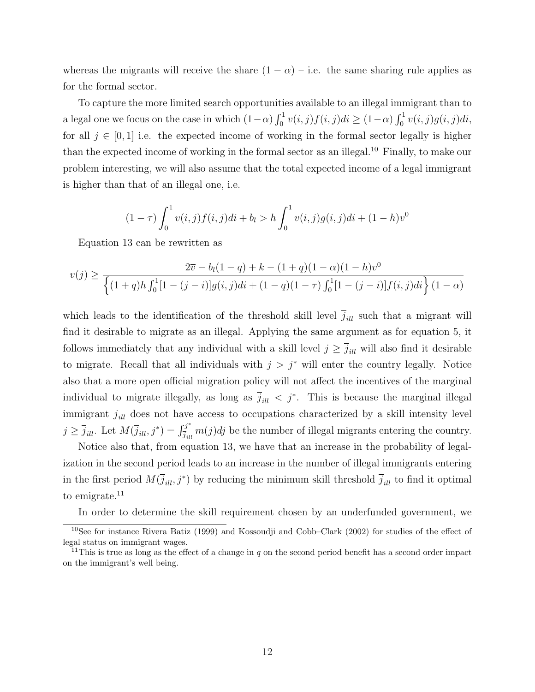whereas the migrants will receive the share  $(1 - \alpha) - i$ .e. the same sharing rule applies as for the formal sector.

To capture the more limited search opportunities available to an illegal immigrant than to a legal one we focus on the case in which  $(1 - \alpha) \int_0^1 v(i, j) f(i, j) di \ge (1 - \alpha) \int_0^1 v(i, j) g(i, j) di$ , for all  $j \in [0,1]$  i.e. the expected income of working in the formal sector legally is higher than the expected income of working in the formal sector as an illegal.<sup>10</sup> Finally, to make our problem interesting, we will also assume that the total expected income of a legal immigrant is higher than that of an illegal one, i.e.

$$
(1 - \tau) \int_0^1 v(i, j) f(i, j) di + b_l > h \int_0^1 v(i, j) g(i, j) di + (1 - h)v^0
$$

Equation 13 can be rewritten as

$$
v(j) \ge \frac{2\overline{v} - b_l(1-q) + k - (1+q)(1-\alpha)(1-h)v^0}{\left\{(1+q)h\int_0^1 [1-(j-i)]g(i,j)di + (1-q)(1-\tau)\int_0^1 [1-(j-i)]f(i,j)di\right\}(1-\alpha)}
$$

which leads to the identification of the threshold skill level  $\bar{j}_{ill}$  such that a migrant will find it desirable to migrate as an illegal. Applying the same argument as for equation 5, it follows immediately that any individual with a skill level  $j \geq \overline{j}_{ill}$  will also find it desirable to migrate. Recall that all individuals with  $j > j^*$  will enter the country legally. Notice also that a more open official migration policy will not affect the incentives of the marginal individual to migrate illegally, as long as  $\bar{j}_{ill} < j^*$ . This is because the marginal illegal immigrant  $\bar{j}_{ill}$  does not have access to occupations characterized by a skill intensity level  $j \ge \bar{j}_{ill}$ . Let  $M(\bar{j}_{ill}, j^*) = \int_{\bar{j}_{il}}^{j^*}$  $\frac{f_j}{f_{ill}} m(j) d j$  be the number of illegal migrants entering the country.

Notice also that, from equation 13, we have that an increase in the probability of legalization in the second period leads to an increase in the number of illegal immigrants entering in the first period  $M(\bar{j}_{ill}, j^*)$  by reducing the minimum skill threshold  $\bar{j}_{ill}$  to find it optimal to emigrate. $^{11}$ 

In order to determine the skill requirement chosen by an underfunded government, we

<sup>10</sup>See for instance Rivera Batiz (1999) and Kossoudji and Cobb–Clark (2002) for studies of the effect of legal status on immigrant wages.

<sup>11</sup>This is true as long as the effect of a change in *q* on the second period benefit has a second order impact on the immigrant's well being.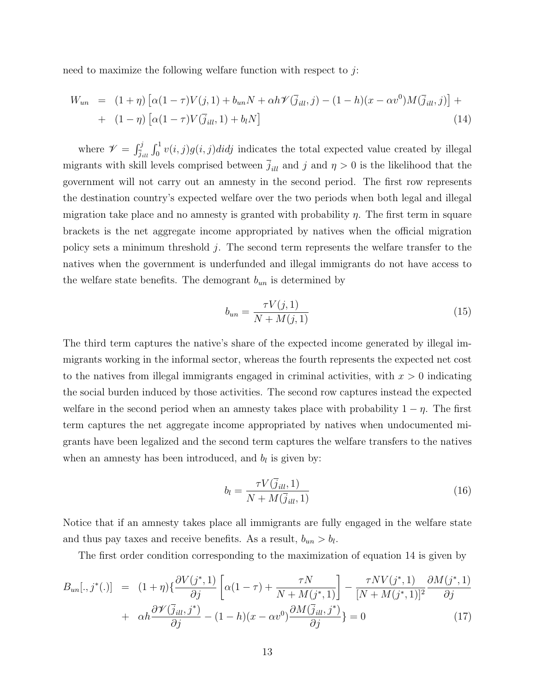need to maximize the following welfare function with respect to *j*:

$$
W_{un} = (1+\eta) [\alpha(1-\tau)V(j,1) + b_{un}N + \alpha h \mathcal{V}(\bar{j}_{ill},j) - (1-h)(x-\alpha v^0)M(\bar{j}_{ill},j)] + (1-\eta) [\alpha(1-\tau)V(\bar{j}_{ill},1) + b_l N]
$$
\n(14)

where  $\mathscr{V} = \int_{\bar{j}_{ill}}^{j} \int_0^1 v(i,j)g(i,j)di,j$  indicates the total expected value created by illegal migrants with skill levels comprised between  $\bar{j}_{ill}$  and  $j$  and  $\eta > 0$  is the likelihood that the government will not carry out an amnesty in the second period. The first row represents the destination country's expected welfare over the two periods when both legal and illegal migration take place and no amnesty is granted with probability  $\eta$ . The first term in square brackets is the net aggregate income appropriated by natives when the official migration policy sets a minimum threshold *j*. The second term represents the welfare transfer to the natives when the government is underfunded and illegal immigrants do not have access to the welfare state benefits. The demogrant  $b_{un}$  is determined by

$$
b_{un} = \frac{\tau V(j, 1)}{N + M(j, 1)}\tag{15}
$$

The third term captures the native's share of the expected income generated by illegal immigrants working in the informal sector, whereas the fourth represents the expected net cost to the natives from illegal immigrants engaged in criminal activities, with *x >* 0 indicating the social burden induced by those activities. The second row captures instead the expected welfare in the second period when an amnesty takes place with probability  $1 - \eta$ . The first term captures the net aggregate income appropriated by natives when undocumented migrants have been legalized and the second term captures the welfare transfers to the natives when an amnesty has been introduced, and  $b_l$  is given by:

$$
b_l = \frac{\tau V(\vec{j}_{ill}, 1)}{N + M(\vec{j}_{ill}, 1)}
$$
\n(16)

Notice that if an amnesty takes place all immigrants are fully engaged in the welfare state and thus pay taxes and receive benefits. As a result,  $b_{un} > b_l$ .

The first order condition corresponding to the maximization of equation 14 is given by

$$
B_{un}[.,j^{*}(.)] = (1+\eta)\left\{\frac{\partial V(j^{*},1)}{\partial j}\left[\alpha(1-\tau)+\frac{\tau N}{N+M(j^{*},1)}\right]-\frac{\tau N V(j^{*},1)}{[N+M(j^{*},1)]^{2}}\frac{\partial M(j^{*},1)}{\partial j}+\alpha h\frac{\partial V(\bar{j}_{ill},j^{*})}{\partial j}-(1-h)(x-\alpha v^{0})\frac{\partial M(\bar{j}_{ill},j^{*})}{\partial j}\right\}=0
$$
\n(17)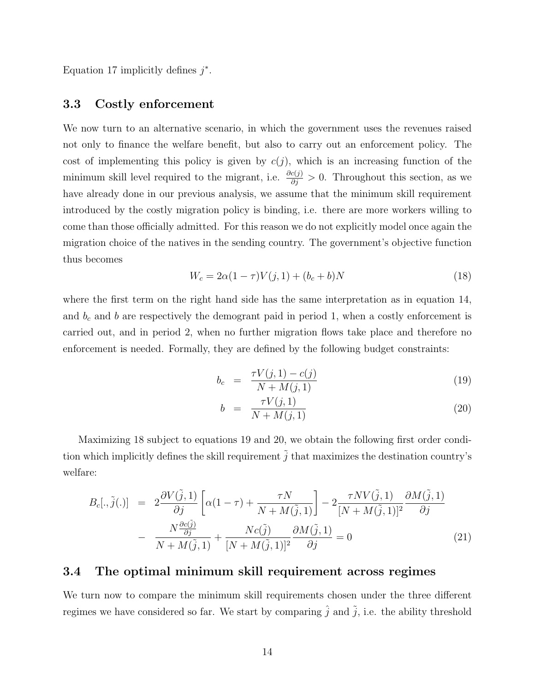Equation 17 implicitly defines *j ∗* .

#### **3.3 Costly enforcement**

We now turn to an alternative scenario, in which the government uses the revenues raised not only to finance the welfare benefit, but also to carry out an enforcement policy. The cost of implementing this policy is given by  $c(j)$ , which is an increasing function of the minimum skill level required to the migrant, i.e.  $\frac{\partial c(j)}{\partial j} > 0$ . Throughout this section, as we have already done in our previous analysis, we assume that the minimum skill requirement introduced by the costly migration policy is binding, i.e. there are more workers willing to come than those officially admitted. For this reason we do not explicitly model once again the migration choice of the natives in the sending country. The government's objective function thus becomes

$$
W_c = 2\alpha (1 - \tau)V(j, 1) + (b_c + b)N
$$
\n(18)

where the first term on the right hand side has the same interpretation as in equation 14, and  $b_c$  and  $b$  are respectively the demogrant paid in period 1, when a costly enforcement is carried out, and in period 2, when no further migration flows take place and therefore no enforcement is needed. Formally, they are defined by the following budget constraints:

$$
b_c = \frac{\tau V(j, 1) - c(j)}{N + M(j, 1)}
$$
(19)

$$
b = \frac{\tau V(j, 1)}{N + M(j, 1)} \tag{20}
$$

Maximizing 18 subject to equations 19 and 20, we obtain the following first order condition which implicitly defines the skill requirement  $\tilde{j}$  that maximizes the destination country's welfare:

$$
B_c[.,\tilde{j}(.)] = 2\frac{\partial V(\tilde{j},1)}{\partial j} \left[ \alpha(1-\tau) + \frac{\tau N}{N+M(\tilde{j},1)} \right] - 2\frac{\tau N V(\tilde{j},1)}{[N+M(\tilde{j},1)]^2} \frac{\partial M(\tilde{j},1)}{\partial j} - \frac{N \frac{\partial c(\tilde{j})}{\partial j}}{N+M(\tilde{j},1)} + \frac{Nc(\tilde{j})}{[N+M(\tilde{j},1)]^2} \frac{\partial M(\tilde{j},1)}{\partial j} = 0
$$
(21)

### **3.4 The optimal minimum skill requirement across regimes**

We turn now to compare the minimum skill requirements chosen under the three different regimes we have considered so far. We start by comparing  $\hat{j}$  and  $\tilde{j}$ , i.e. the ability threshold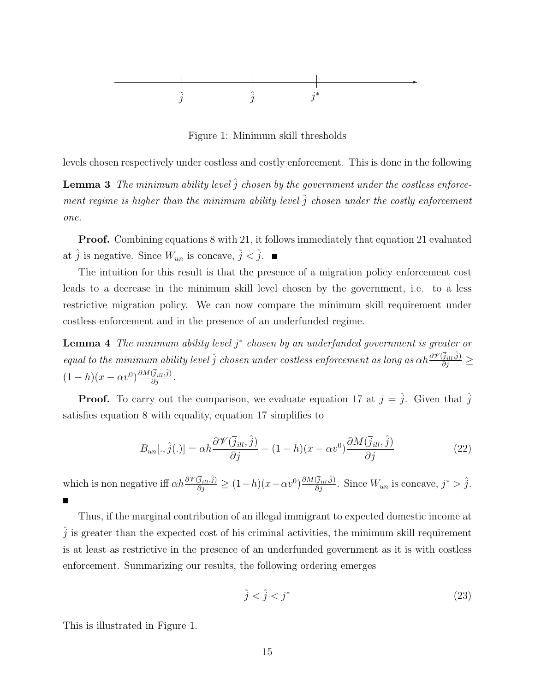

Figure 1: Minimum skill thresholds

levels chosen respectively under costless and costly enforcement. This is done in the following

**Lemma 3** The minimum ability level  $\hat{j}$  chosen by the government under the costless enforce*ment regime is higher than the minimum ability level*  $\tilde{j}$  *chosen under the costly enforcement one.*

**Proof.** Combining equations 8 with 21, it follows immediately that equation 21 evaluated at  $\hat{j}$  is negative. Since  $W_{un}$  is concave,  $\tilde{j} < \hat{j}$ .

The intuition for this result is that the presence of a migration policy enforcement cost leads to a decrease in the minimum skill level chosen by the government, i.e. to a less restrictive migration policy. We can now compare the minimum skill requirement under costless enforcement and in the presence of an underfunded regime.

**Lemma 4** *The minimum ability level j ∗ chosen by an underfunded government is greater or equal to the minimum ability level*  $\hat{j}$  *chosen under costless enforcement as long as*  $\alpha h \frac{\partial \mathscr{V}(\vec{j}_{ill},\hat{j})}{\partial \vec{j}} \geq$  $(1-h)(x-\alpha v^0)\frac{\partial M(\bar{j}_{ill},\hat{j})}{\partial j}.$ 

**Proof.** To carry out the comparison, we evaluate equation 17 at  $j = \hat{j}$ . Given that  $\hat{j}$ satisfies equation 8 with equality, equation 17 simplifies to

$$
B_{un}[.,\hat{j}(.)] = \alpha h \frac{\partial \mathcal{V}(\bar{j}_{ill},\hat{j})}{\partial j} - (1-h)(x - \alpha v^0) \frac{\partial M(\bar{j}_{ill},\hat{j})}{\partial j}
$$
(22)

which is non negative iff  $\alpha h \frac{\partial \mathcal{V}(\bar{j}_{ill},\hat{j})}{\partial j} \geq (1-h)(x-\alpha v^0) \frac{\partial M(\bar{j}_{ill},\hat{j})}{\partial j}$ . Since  $W_{un}$  is concave,  $j^* > \hat{j}$ .

Thus, if the marginal contribution of an illegal immigrant to expected domestic income at  $\hat{j}$  is greater than the expected cost of his criminal activities, the minimum skill requirement is at least as restrictive in the presence of an underfunded government as it is with costless enforcement. Summarizing our results, the following ordering emerges

$$
\tilde{j} < \hat{j} < j^* \tag{23}
$$

This is illustrated in Figure 1.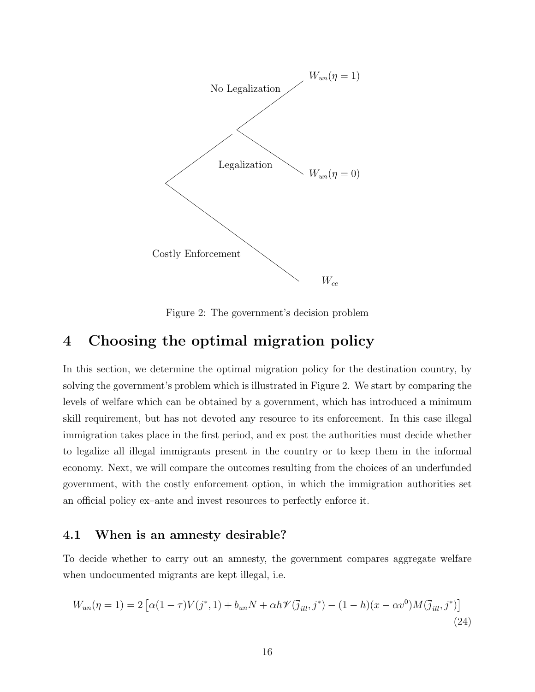

Figure 2: The government's decision problem

## **4 Choosing the optimal migration policy**

In this section, we determine the optimal migration policy for the destination country, by solving the government's problem which is illustrated in Figure 2. We start by comparing the levels of welfare which can be obtained by a government, which has introduced a minimum skill requirement, but has not devoted any resource to its enforcement. In this case illegal immigration takes place in the first period, and ex post the authorities must decide whether to legalize all illegal immigrants present in the country or to keep them in the informal economy. Next, we will compare the outcomes resulting from the choices of an underfunded government, with the costly enforcement option, in which the immigration authorities set an official policy ex–ante and invest resources to perfectly enforce it.

#### **4.1 When is an amnesty desirable?**

To decide whether to carry out an amnesty, the government compares aggregate welfare when undocumented migrants are kept illegal, i.e.

$$
W_{un}(\eta = 1) = 2 \left[ \alpha (1 - \tau) V(j^*, 1) + b_{un} N + \alpha h \mathcal{V}(\bar{j}_{ill}, j^*) - (1 - h)(x - \alpha v^0) M(\bar{j}_{ill}, j^*) \right]
$$
\n(24)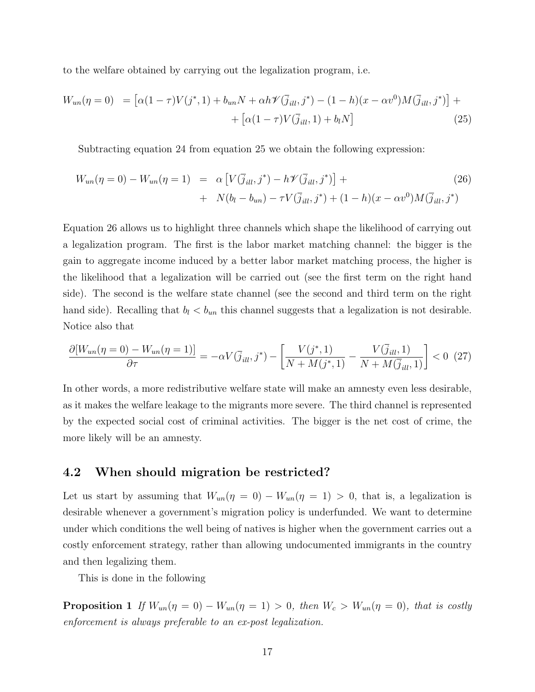to the welfare obtained by carrying out the legalization program, i.e.

$$
W_{un}(\eta = 0) = [\alpha(1 - \tau)V(j^*, 1) + b_{un}N + \alpha h \mathcal{V}(\bar{j}_{ill}, j^*) - (1 - h)(x - \alpha v^0)M(\bar{j}_{ill}, j^*)] + + [\alpha(1 - \tau)V(\bar{j}_{ill}, 1) + b_l N]
$$
(25)

Subtracting equation 24 from equation 25 we obtain the following expression:

$$
W_{un}(\eta = 0) - W_{un}(\eta = 1) = \alpha \left[ V(\bar{j}_{ill}, j^*) - h \mathcal{V}(\bar{j}_{ill}, j^*) \right] +
$$
  
+  $N(b_l - b_{un}) - \tau V(\bar{j}_{ill}, j^*) + (1 - h)(x - \alpha v^0) M(\bar{j}_{ill}, j^*)$  (26)

Equation 26 allows us to highlight three channels which shape the likelihood of carrying out a legalization program. The first is the labor market matching channel: the bigger is the gain to aggregate income induced by a better labor market matching process, the higher is the likelihood that a legalization will be carried out (see the first term on the right hand side). The second is the welfare state channel (see the second and third term on the right hand side). Recalling that  $b_l < b_{un}$  this channel suggests that a legalization is not desirable. Notice also that

$$
\frac{\partial [W_{un}(\eta=0) - W_{un}(\eta=1)]}{\partial \tau} = -\alpha V(\overline{j}_{ill}, j^*) - \left[ \frac{V(j^*, 1)}{N + M(j^*, 1)} - \frac{V(\overline{j}_{ill}, 1)}{N + M(\overline{j}_{ill}, 1)} \right] < 0 \tag{27}
$$

In other words, a more redistributive welfare state will make an amnesty even less desirable, as it makes the welfare leakage to the migrants more severe. The third channel is represented by the expected social cost of criminal activities. The bigger is the net cost of crime, the more likely will be an amnesty.

### **4.2 When should migration be restricted?**

Let us start by assuming that  $W_{un}(\eta = 0) - W_{un}(\eta = 1) > 0$ , that is, a legalization is desirable whenever a government's migration policy is underfunded. We want to determine under which conditions the well being of natives is higher when the government carries out a costly enforcement strategy, rather than allowing undocumented immigrants in the country and then legalizing them.

This is done in the following

**Proposition 1** *If*  $W_{un}(\eta = 0) - W_{un}(\eta = 1) > 0$ *, then*  $W_c > W_{un}(\eta = 0)$ *, that is costly enforcement is always preferable to an ex-post legalization.*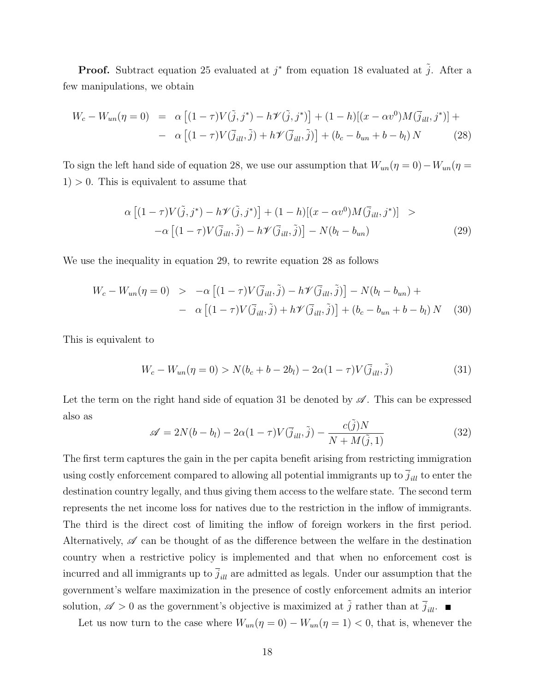**Proof.** Subtract equation 25 evaluated at  $j^*$  from equation 18 evaluated at  $\tilde{j}$ . After a few manipulations, we obtain

$$
W_c - W_{un}(\eta = 0) = \alpha \left[ (1 - \tau)V(\tilde{j}, j^*) - h\mathcal{V}(\tilde{j}, j^*) \right] + (1 - h)\left[ (x - \alpha v^0)M(\bar{j}_{ill}, j^*) \right] +
$$
  

$$
- \alpha \left[ (1 - \tau)V(\bar{j}_{ill}, \tilde{j}) + h\mathcal{V}(\bar{j}_{ill}, \tilde{j}) \right] + (b_c - b_{un} + b - b_l)N
$$
(28)

To sign the left hand side of equation 28, we use our assumption that  $W_{un}(\eta = 0) - W_{un}(\eta = 0)$ 1) *>* 0. This is equivalent to assume that

$$
\alpha \left[ (1-\tau)V(\tilde{j},j^*) - h\mathcal{V}(\tilde{j},j^*) \right] + (1-h)[(x-\alpha v^0)M(\bar{j}_{ill},j^*)] > -\alpha \left[ (1-\tau)V(\bar{j}_{ill},\tilde{j}) - h\mathcal{V}(\bar{j}_{ill},\tilde{j}) \right] - N(b_l - b_{un})
$$
\n(29)

We use the inequality in equation 29, to rewrite equation 28 as follows

$$
W_c - W_{un}(\eta = 0) > -\alpha \left[ (1 - \tau)V(\overline{j}_{ill}, \tilde{j}) - h\mathcal{V}(\overline{j}_{ill}, \tilde{j}) \right] - N(b_l - b_{un}) +
$$
  
-  $\alpha \left[ (1 - \tau)V(\overline{j}_{ill}, \tilde{j}) + h\mathcal{V}(\overline{j}_{ill}, \tilde{j}) \right] + (b_c - b_{un} + b - b_l)N$  (30)

This is equivalent to

$$
W_c - W_{un}(\eta = 0) > N(b_c + b - 2b_l) - 2\alpha (1 - \tau) V(\bar{j}_{ill}, \tilde{j})
$$
\n(31)

Let the term on the right hand side of equation 31 be denoted by  $\mathscr A$ . This can be expressed also as

$$
\mathscr{A} = 2N(b - b_l) - 2\alpha (1 - \tau)V(\bar{j}_{ill}, \tilde{j}) - \frac{c(\tilde{j})N}{N + M(\tilde{j}, 1)}
$$
(32)

The first term captures the gain in the per capita benefit arising from restricting immigration using costly enforcement compared to allowing all potential immigrants up to  $\overline{j}_{ill}$  to enter the destination country legally, and thus giving them access to the welfare state. The second term represents the net income loss for natives due to the restriction in the inflow of immigrants. The third is the direct cost of limiting the inflow of foreign workers in the first period. Alternatively,  $\mathscr A$  can be thought of as the difference between the welfare in the destination country when a restrictive policy is implemented and that when no enforcement cost is incurred and all immigrants up to  $\bar{j}_{ill}$  are admitted as legals. Under our assumption that the government's welfare maximization in the presence of costly enforcement admits an interior solution,  $\mathscr{A} > 0$  as the government's objective is maximized at  $\tilde{j}$  rather than at  $\bar{j}_{ill}$ .

Let us now turn to the case where  $W_{un}(\eta = 0) - W_{un}(\eta = 1) < 0$ , that is, whenever the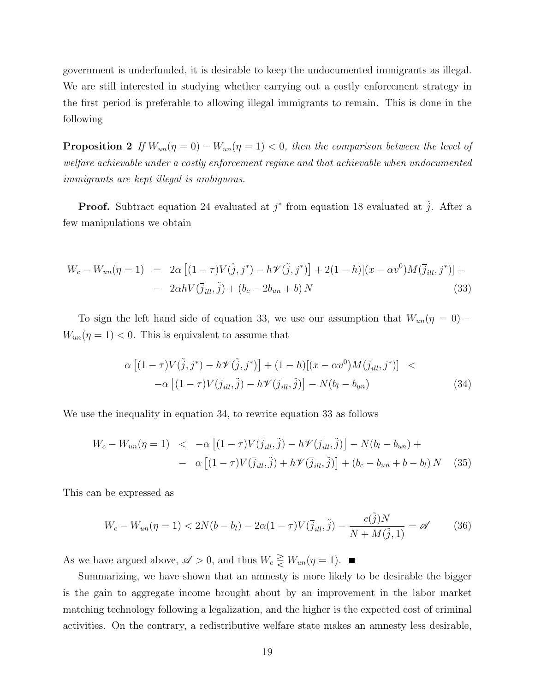government is underfunded, it is desirable to keep the undocumented immigrants as illegal. We are still interested in studying whether carrying out a costly enforcement strategy in the first period is preferable to allowing illegal immigrants to remain. This is done in the following

**Proposition 2** *If*  $W_{un}(\eta = 0) - W_{un}(\eta = 1) < 0$ *, then the comparison between the level of welfare achievable under a costly enforcement regime and that achievable when undocumented immigrants are kept illegal is ambiguous.*

**Proof.** Subtract equation 24 evaluated at  $j^*$  from equation 18 evaluated at  $\tilde{j}$ . After a few manipulations we obtain

$$
W_c - W_{un}(\eta = 1) = 2\alpha \left[ (1 - \tau)V(\tilde{j}, j^*) - h\mathcal{V}(\tilde{j}, j^*) \right] + 2(1 - h)[(x - \alpha v^0)M(\bar{j}_{ill}, j^*)] +
$$
  
- 2\alpha hV(\bar{j}\_{ill}, \tilde{j}) + (b\_c - 2b\_{un} + b) N (33)

To sign the left hand side of equation 33, we use our assumption that  $W_{un}(\eta = 0)$  –  $W_{un}(\eta = 1) < 0$ . This is equivalent to assume that

$$
\alpha \left[ (1-\tau)V(\tilde{j},j^*) - h\mathcal{V}(\tilde{j},j^*) \right] + (1-h)[(x-\alpha v^0)M(\bar{j}_{ill},j^*)] -\alpha \left[ (1-\tau)V(\bar{j}_{ill},\tilde{j}) - h\mathcal{V}(\bar{j}_{ill},\tilde{j}) \right] - N(b_l - b_{un})
$$
(34)

We use the inequality in equation 34, to rewrite equation 33 as follows

$$
W_c - W_{un}(\eta = 1) \quad < \quad -\alpha \left[ (1 - \tau)V(\bar{j}_{ill}, \tilde{j}) - h\mathcal{V}(\bar{j}_{ill}, \tilde{j}) \right] - N(b_l - b_{un}) + \\
\quad - \quad \alpha \left[ (1 - \tau)V(\bar{j}_{ill}, \tilde{j}) + h\mathcal{V}(\bar{j}_{ill}, \tilde{j}) \right] + (b_c - b_{un} + b - b_l)N \tag{35}
$$

This can be expressed as

$$
W_c - W_{un}(\eta = 1) < 2N(b - b_l) - 2\alpha (1 - \tau)V(\bar{j}_{ill}, \tilde{j}) - \frac{c(\tilde{j})N}{N + M(\tilde{j}, 1)} = \mathscr{A} \tag{36}
$$

As we have argued above,  $\mathscr{A} > 0$ , and thus  $W_c \geq W_{un}(\eta = 1)$ .

Summarizing, we have shown that an amnesty is more likely to be desirable the bigger is the gain to aggregate income brought about by an improvement in the labor market matching technology following a legalization, and the higher is the expected cost of criminal activities. On the contrary, a redistributive welfare state makes an amnesty less desirable,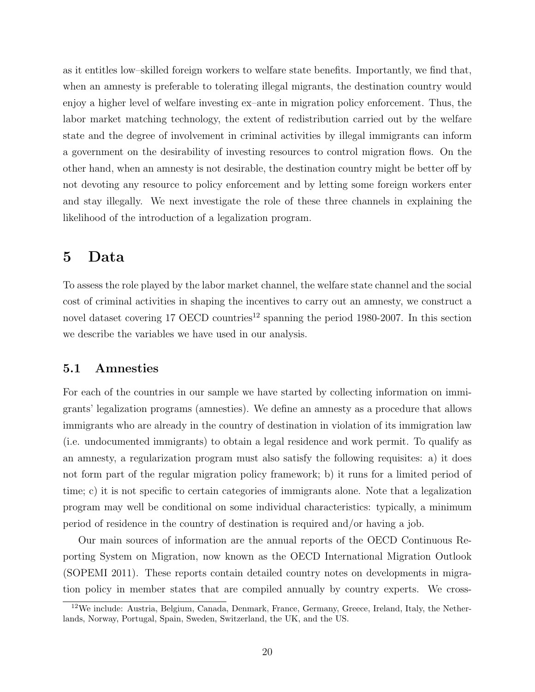as it entitles low–skilled foreign workers to welfare state benefits. Importantly, we find that, when an amnesty is preferable to tolerating illegal migrants, the destination country would enjoy a higher level of welfare investing ex–ante in migration policy enforcement. Thus, the labor market matching technology, the extent of redistribution carried out by the welfare state and the degree of involvement in criminal activities by illegal immigrants can inform a government on the desirability of investing resources to control migration flows. On the other hand, when an amnesty is not desirable, the destination country might be better off by not devoting any resource to policy enforcement and by letting some foreign workers enter and stay illegally. We next investigate the role of these three channels in explaining the likelihood of the introduction of a legalization program.

### **5 Data**

To assess the role played by the labor market channel, the welfare state channel and the social cost of criminal activities in shaping the incentives to carry out an amnesty, we construct a novel dataset covering 17 OECD countries<sup>12</sup> spanning the period 1980-2007. In this section we describe the variables we have used in our analysis.

### **5.1 Amnesties**

For each of the countries in our sample we have started by collecting information on immigrants' legalization programs (amnesties). We define an amnesty as a procedure that allows immigrants who are already in the country of destination in violation of its immigration law (i.e. undocumented immigrants) to obtain a legal residence and work permit. To qualify as an amnesty, a regularization program must also satisfy the following requisites: a) it does not form part of the regular migration policy framework; b) it runs for a limited period of time; c) it is not specific to certain categories of immigrants alone. Note that a legalization program may well be conditional on some individual characteristics: typically, a minimum period of residence in the country of destination is required and/or having a job.

Our main sources of information are the annual reports of the OECD Continuous Reporting System on Migration, now known as the OECD International Migration Outlook (SOPEMI 2011). These reports contain detailed country notes on developments in migration policy in member states that are compiled annually by country experts. We cross-

<sup>12</sup>We include: Austria, Belgium, Canada, Denmark, France, Germany, Greece, Ireland, Italy, the Netherlands, Norway, Portugal, Spain, Sweden, Switzerland, the UK, and the US.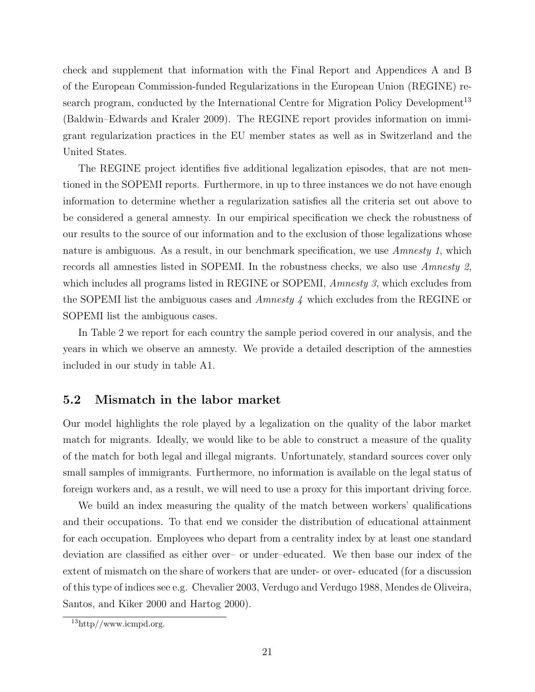check and supplement that information with the Final Report and Appendices A and B of the European Commission-funded Regularizations in the European Union (REGINE) research program, conducted by the International Centre for Migration Policy Development<sup>13</sup> (Baldwin–Edwards and Kraler 2009). The REGINE report provides information on immigrant regularization practices in the EU member states as well as in Switzerland and the United States.

The REGINE project identifies five additional legalization episodes, that are not mentioned in the SOPEMI reports. Furthermore, in up to three instances we do not have enough information to determine whether a regularization satisfies all the criteria set out above to be considered a general amnesty. In our empirical specification we check the robustness of our results to the source of our information and to the exclusion of those legalizations whose nature is ambiguous. As a result, in our benchmark specification, we use *Amnesty 1*, which records all amnesties listed in SOPEMI. In the robustness checks, we also use *Amnesty 2*, which includes all programs listed in REGINE or SOPEMI, *Amnesty 3*, which excludes from the SOPEMI list the ambiguous cases and *Amnesty 4* which excludes from the REGINE or SOPEMI list the ambiguous cases.

In Table 2 we report for each country the sample period covered in our analysis, and the years in which we observe an amnesty. We provide a detailed description of the amnesties included in our study in table A1.

#### **5.2 Mismatch in the labor market**

Our model highlights the role played by a legalization on the quality of the labor market match for migrants. Ideally, we would like to be able to construct a measure of the quality of the match for both legal and illegal migrants. Unfortunately, standard sources cover only small samples of immigrants. Furthermore, no information is available on the legal status of foreign workers and, as a result, we will need to use a proxy for this important driving force.

We build an index measuring the quality of the match between workers' qualifications and their occupations. To that end we consider the distribution of educational attainment for each occupation. Employees who depart from a centrality index by at least one standard deviation are classified as either over– or under–educated. We then base our index of the extent of mismatch on the share of workers that are under- or over- educated (for a discussion of this type of indices see e.g. Chevalier 2003, Verdugo and Verdugo 1988, Mendes de Oliveira, Santos, and Kiker 2000 and Hartog 2000).

 $13$ http//www.icmpd.org.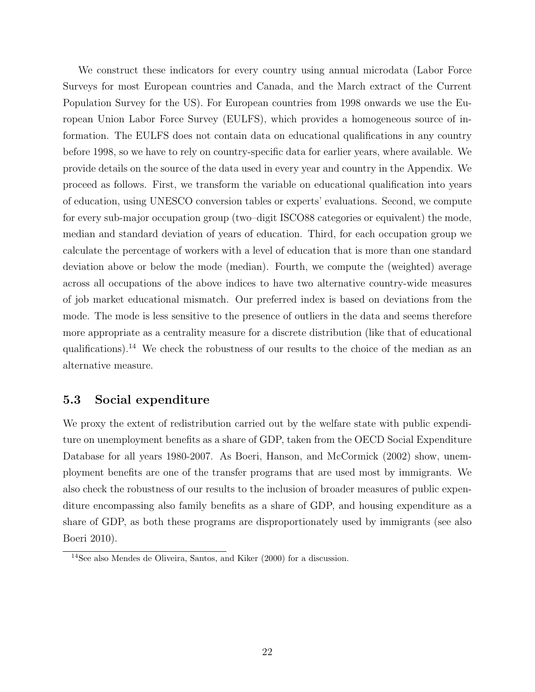We construct these indicators for every country using annual microdata (Labor Force Surveys for most European countries and Canada, and the March extract of the Current Population Survey for the US). For European countries from 1998 onwards we use the European Union Labor Force Survey (EULFS), which provides a homogeneous source of information. The EULFS does not contain data on educational qualifications in any country before 1998, so we have to rely on country-specific data for earlier years, where available. We provide details on the source of the data used in every year and country in the Appendix. We proceed as follows. First, we transform the variable on educational qualification into years of education, using UNESCO conversion tables or experts' evaluations. Second, we compute for every sub-major occupation group (two–digit ISCO88 categories or equivalent) the mode, median and standard deviation of years of education. Third, for each occupation group we calculate the percentage of workers with a level of education that is more than one standard deviation above or below the mode (median). Fourth, we compute the (weighted) average across all occupations of the above indices to have two alternative country-wide measures of job market educational mismatch. Our preferred index is based on deviations from the mode. The mode is less sensitive to the presence of outliers in the data and seems therefore more appropriate as a centrality measure for a discrete distribution (like that of educational qualifications).<sup>14</sup> We check the robustness of our results to the choice of the median as an alternative measure.

### **5.3 Social expenditure**

We proxy the extent of redistribution carried out by the welfare state with public expenditure on unemployment benefits as a share of GDP, taken from the OECD Social Expenditure Database for all years 1980-2007. As Boeri, Hanson, and McCormick (2002) show, unemployment benefits are one of the transfer programs that are used most by immigrants. We also check the robustness of our results to the inclusion of broader measures of public expenditure encompassing also family benefits as a share of GDP, and housing expenditure as a share of GDP, as both these programs are disproportionately used by immigrants (see also Boeri 2010).

<sup>14</sup>See also Mendes de Oliveira, Santos, and Kiker (2000) for a discussion.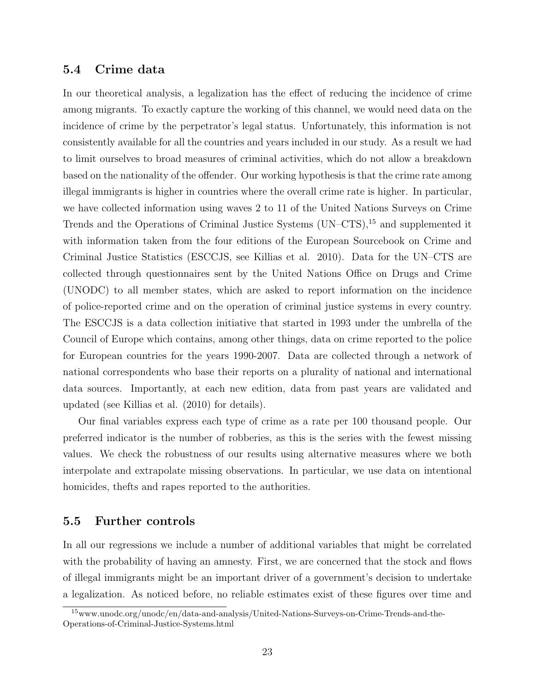### **5.4 Crime data**

In our theoretical analysis, a legalization has the effect of reducing the incidence of crime among migrants. To exactly capture the working of this channel, we would need data on the incidence of crime by the perpetrator's legal status. Unfortunately, this information is not consistently available for all the countries and years included in our study. As a result we had to limit ourselves to broad measures of criminal activities, which do not allow a breakdown based on the nationality of the offender. Our working hypothesis is that the crime rate among illegal immigrants is higher in countries where the overall crime rate is higher. In particular, we have collected information using waves 2 to 11 of the United Nations Surveys on Crime Trends and the Operations of Criminal Justice Systems (UN–CTS),<sup>15</sup> and supplemented it with information taken from the four editions of the European Sourcebook on Crime and Criminal Justice Statistics (ESCCJS, see Killias et al. 2010). Data for the UN–CTS are collected through questionnaires sent by the United Nations Office on Drugs and Crime (UNODC) to all member states, which are asked to report information on the incidence of police-reported crime and on the operation of criminal justice systems in every country. The ESCCJS is a data collection initiative that started in 1993 under the umbrella of the Council of Europe which contains, among other things, data on crime reported to the police for European countries for the years 1990-2007. Data are collected through a network of national correspondents who base their reports on a plurality of national and international data sources. Importantly, at each new edition, data from past years are validated and updated (see Killias et al. (2010) for details).

Our final variables express each type of crime as a rate per 100 thousand people. Our preferred indicator is the number of robberies, as this is the series with the fewest missing values. We check the robustness of our results using alternative measures where we both interpolate and extrapolate missing observations. In particular, we use data on intentional homicides, thefts and rapes reported to the authorities.

#### **5.5 Further controls**

In all our regressions we include a number of additional variables that might be correlated with the probability of having an amnesty. First, we are concerned that the stock and flows of illegal immigrants might be an important driver of a government's decision to undertake a legalization. As noticed before, no reliable estimates exist of these figures over time and

<sup>15</sup>www.unodc.org/unodc/en/data-and-analysis/United-Nations-Surveys-on-Crime-Trends-and-the-Operations-of-Criminal-Justice-Systems.html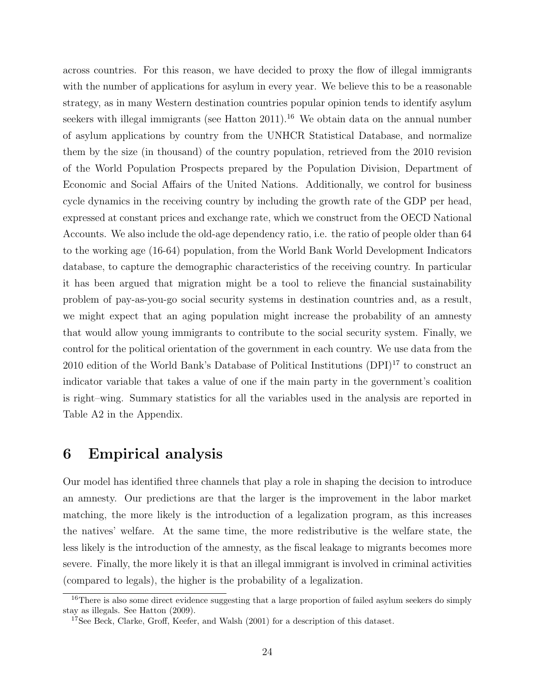across countries. For this reason, we have decided to proxy the flow of illegal immigrants with the number of applications for asylum in every year. We believe this to be a reasonable strategy, as in many Western destination countries popular opinion tends to identify asylum seekers with illegal immigrants (see Hatton  $2011$ ).<sup>16</sup> We obtain data on the annual number of asylum applications by country from the UNHCR Statistical Database, and normalize them by the size (in thousand) of the country population, retrieved from the 2010 revision of the World Population Prospects prepared by the Population Division, Department of Economic and Social Affairs of the United Nations. Additionally, we control for business cycle dynamics in the receiving country by including the growth rate of the GDP per head, expressed at constant prices and exchange rate, which we construct from the OECD National Accounts. We also include the old-age dependency ratio, i.e. the ratio of people older than 64 to the working age (16-64) population, from the World Bank World Development Indicators database, to capture the demographic characteristics of the receiving country. In particular it has been argued that migration might be a tool to relieve the financial sustainability problem of pay-as-you-go social security systems in destination countries and, as a result, we might expect that an aging population might increase the probability of an amnesty that would allow young immigrants to contribute to the social security system. Finally, we control for the political orientation of the government in each country. We use data from the 2010 edition of the World Bank's Database of Political Institutions  $(DPI)^{17}$  to construct an indicator variable that takes a value of one if the main party in the government's coalition is right–wing. Summary statistics for all the variables used in the analysis are reported in Table A2 in the Appendix.

## **6 Empirical analysis**

Our model has identified three channels that play a role in shaping the decision to introduce an amnesty. Our predictions are that the larger is the improvement in the labor market matching, the more likely is the introduction of a legalization program, as this increases the natives' welfare. At the same time, the more redistributive is the welfare state, the less likely is the introduction of the amnesty, as the fiscal leakage to migrants becomes more severe. Finally, the more likely it is that an illegal immigrant is involved in criminal activities (compared to legals), the higher is the probability of a legalization.

 $16$ There is also some direct evidence suggesting that a large proportion of failed asylum seekers do simply stay as illegals. See Hatton (2009).

<sup>&</sup>lt;sup>17</sup>See Beck, Clarke, Groff, Keefer, and Walsh (2001) for a description of this dataset.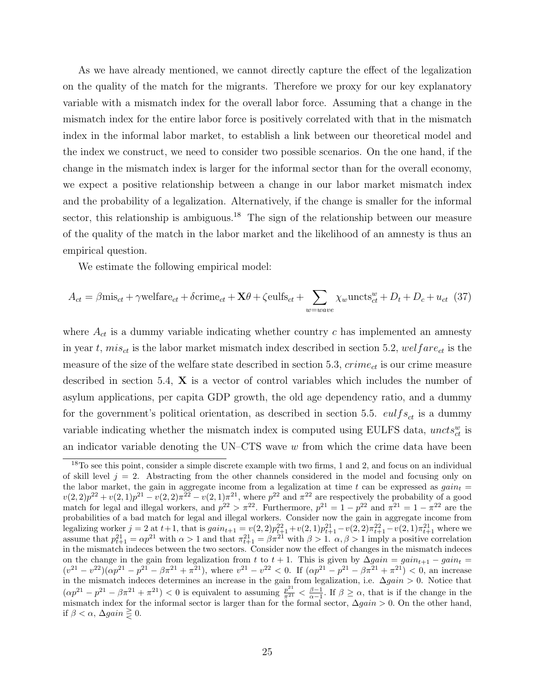As we have already mentioned, we cannot directly capture the effect of the legalization on the quality of the match for the migrants. Therefore we proxy for our key explanatory variable with a mismatch index for the overall labor force. Assuming that a change in the mismatch index for the entire labor force is positively correlated with that in the mismatch index in the informal labor market, to establish a link between our theoretical model and the index we construct, we need to consider two possible scenarios. On the one hand, if the change in the mismatch index is larger for the informal sector than for the overall economy, we expect a positive relationship between a change in our labor market mismatch index and the probability of a legalization. Alternatively, if the change is smaller for the informal sector, this relationship is ambiguous.<sup>18</sup> The sign of the relationship between our measure of the quality of the match in the labor market and the likelihood of an amnesty is thus an empirical question.

We estimate the following empirical model:

$$
A_{ct} = \beta \text{mis}_{ct} + \gamma \text{welfare}_{ct} + \delta \text{crime}_{ct} + \mathbf{X}\theta + \zeta \text{eulfs}_{ct} + \sum_{w=wave} \chi_w \text{uncts}_{ct}^w + D_t + D_c + u_{ct} \tag{37}
$$

where  $A_{ct}$  is a dummy variable indicating whether country  $c$  has implemented an amnesty in year *t*, *misct* is the labor market mismatch index described in section 5.2, *welf arect* is the measure of the size of the welfare state described in section 5.3, *crimect* is our crime measure described in section 5.4, **X** is a vector of control variables which includes the number of asylum applications, per capita GDP growth, the old age dependency ratio, and a dummy for the government's political orientation, as described in section 5.5.  $eulfs_{ct}$  is a dummy variable indicating whether the mismatch index is computed using EULFS data,  $uncts_{ct}^{w}$  is an indicator variable denoting the UN–CTS wave *w* from which the crime data have been

 $18$ To see this point, consider a simple discrete example with two firms, 1 and 2, and focus on an individual of skill level  $j = 2$ . Abstracting from the other channels considered in the model and focusing only on the labor market, the gain in aggregate income from a legalization at time *t* can be expressed as  $gain_t =$  $v(2,2)p^{22} + v(2,1)p^{21} - v(2,2)\pi^{22} - v(2,1)\pi^{21}$ , where  $p^{22}$  and  $\pi^{22}$  are respectively the probability of a good match for legal and illegal workers, and  $p^{22} > \pi^{22}$ . Furthermore,  $p^{21} = 1 - p^{22}$  and  $\pi^{21} = 1 - \pi^{22}$  are the probabilities of a bad match for legal and illegal workers. Consider now the gain in aggregate income from legalizing worker  $j = 2$  at  $t+1$ , that is  $gain_{t+1} = v(2,2)p_{t+1}^{22} + v(2,1)p_{t+1}^{21} - v(2,2)\pi_{t+1}^{22} - v(2,1)\pi_{t+1}^{21}$  where we assume that  $p_{t+1}^{21} = \alpha p^{21}$  with  $\alpha > 1$  and that  $\pi_{t+1}^{21} = \beta \pi^{21}$  with  $\beta > 1$ .  $\alpha, \beta > 1$  imply a positive correlation in the mismatch indeces between the two sectors. Consider now the effect of changes in the mismatch indeces on the change in the gain from legalization from *t* to  $t + 1$ . This is given by  $\Delta gain = gain_{t+1} - gain_t =$  $(v^{21} - v^{22})(\alpha p^{21} - p^{21} - \beta \pi^{21} + \pi^{21})$ , where  $v^{21} - v^{22} < 0$ . If  $(\alpha p^{21} - p^{21} - \beta \pi^{21} + \pi^{21}) < 0$ , an increase in the mismatch indeces determines an increase in the gain from legalization, i.e. ∆*gain >* 0. Notice that  $(\alpha p^{21} - p^{21} - \beta \pi^{21} + \pi^{21}) < 0$  is equivalent to assuming  $\frac{p^{21}}{\pi^{21}} < \frac{\beta - 1}{\alpha - 1}$ . If  $\beta \ge \alpha$ , that is if the change in the mismatch index for the informal sector is larger than for the formal sector, ∆*gain >* 0*.* On the other hand, if  $\beta < \alpha$ ,  $\Delta gain \geq 0$ .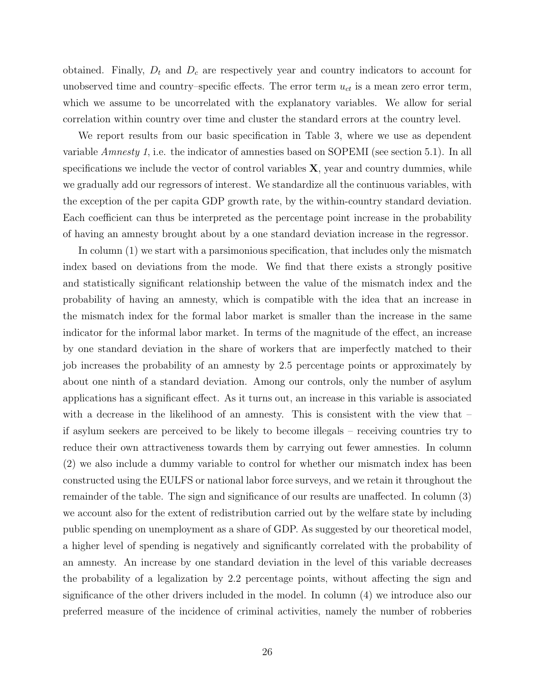obtained. Finally,  $D_t$  and  $D_c$  are respectively year and country indicators to account for unobserved time and country–specific effects. The error term *uct* is a mean zero error term, which we assume to be uncorrelated with the explanatory variables. We allow for serial correlation within country over time and cluster the standard errors at the country level.

We report results from our basic specification in Table 3, where we use as dependent variable *Amnesty 1*, i.e. the indicator of amnesties based on SOPEMI (see section 5.1). In all specifications we include the vector of control variables **X**, year and country dummies, while we gradually add our regressors of interest. We standardize all the continuous variables, with the exception of the per capita GDP growth rate, by the within-country standard deviation. Each coefficient can thus be interpreted as the percentage point increase in the probability of having an amnesty brought about by a one standard deviation increase in the regressor.

In column (1) we start with a parsimonious specification, that includes only the mismatch index based on deviations from the mode. We find that there exists a strongly positive and statistically significant relationship between the value of the mismatch index and the probability of having an amnesty, which is compatible with the idea that an increase in the mismatch index for the formal labor market is smaller than the increase in the same indicator for the informal labor market. In terms of the magnitude of the effect, an increase by one standard deviation in the share of workers that are imperfectly matched to their job increases the probability of an amnesty by 2.5 percentage points or approximately by about one ninth of a standard deviation. Among our controls, only the number of asylum applications has a significant effect. As it turns out, an increase in this variable is associated with a decrease in the likelihood of an amnesty. This is consistent with the view that – if asylum seekers are perceived to be likely to become illegals – receiving countries try to reduce their own attractiveness towards them by carrying out fewer amnesties. In column (2) we also include a dummy variable to control for whether our mismatch index has been constructed using the EULFS or national labor force surveys, and we retain it throughout the remainder of the table. The sign and significance of our results are unaffected. In column (3) we account also for the extent of redistribution carried out by the welfare state by including public spending on unemployment as a share of GDP. As suggested by our theoretical model, a higher level of spending is negatively and significantly correlated with the probability of an amnesty. An increase by one standard deviation in the level of this variable decreases the probability of a legalization by 2.2 percentage points, without affecting the sign and significance of the other drivers included in the model. In column (4) we introduce also our preferred measure of the incidence of criminal activities, namely the number of robberies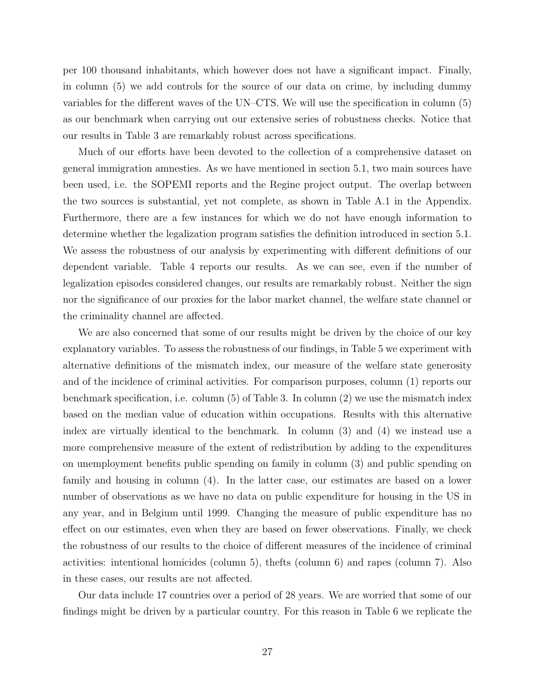per 100 thousand inhabitants, which however does not have a significant impact. Finally, in column (5) we add controls for the source of our data on crime, by including dummy variables for the different waves of the UN–CTS. We will use the specification in column (5) as our benchmark when carrying out our extensive series of robustness checks. Notice that our results in Table 3 are remarkably robust across specifications.

Much of our efforts have been devoted to the collection of a comprehensive dataset on general immigration amnesties. As we have mentioned in section 5.1, two main sources have been used, i.e. the SOPEMI reports and the Regine project output. The overlap between the two sources is substantial, yet not complete, as shown in Table A.1 in the Appendix. Furthermore, there are a few instances for which we do not have enough information to determine whether the legalization program satisfies the definition introduced in section 5.1. We assess the robustness of our analysis by experimenting with different definitions of our dependent variable. Table 4 reports our results. As we can see, even if the number of legalization episodes considered changes, our results are remarkably robust. Neither the sign nor the significance of our proxies for the labor market channel, the welfare state channel or the criminality channel are affected.

We are also concerned that some of our results might be driven by the choice of our key explanatory variables. To assess the robustness of our findings, in Table 5 we experiment with alternative definitions of the mismatch index, our measure of the welfare state generosity and of the incidence of criminal activities. For comparison purposes, column (1) reports our benchmark specification, i.e. column (5) of Table 3. In column (2) we use the mismatch index based on the median value of education within occupations. Results with this alternative index are virtually identical to the benchmark. In column (3) and (4) we instead use a more comprehensive measure of the extent of redistribution by adding to the expenditures on unemployment benefits public spending on family in column (3) and public spending on family and housing in column (4). In the latter case, our estimates are based on a lower number of observations as we have no data on public expenditure for housing in the US in any year, and in Belgium until 1999. Changing the measure of public expenditure has no effect on our estimates, even when they are based on fewer observations. Finally, we check the robustness of our results to the choice of different measures of the incidence of criminal activities: intentional homicides (column 5), thefts (column 6) and rapes (column 7). Also in these cases, our results are not affected.

Our data include 17 countries over a period of 28 years. We are worried that some of our findings might be driven by a particular country. For this reason in Table 6 we replicate the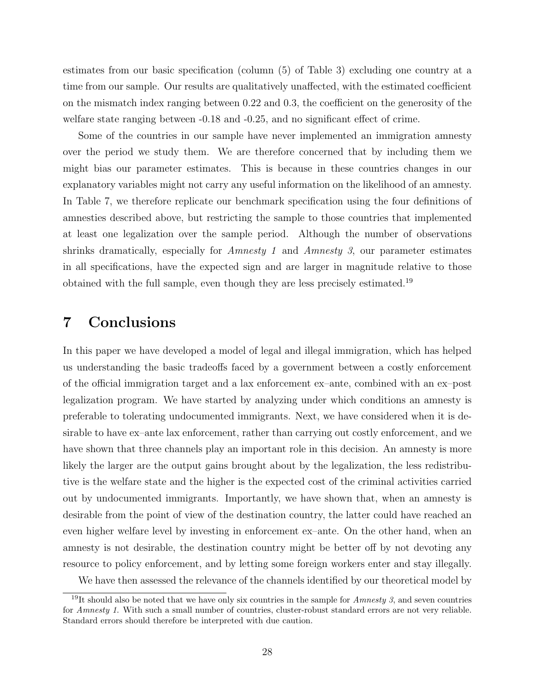estimates from our basic specification (column (5) of Table 3) excluding one country at a time from our sample. Our results are qualitatively unaffected, with the estimated coefficient on the mismatch index ranging between 0.22 and 0.3, the coefficient on the generosity of the welfare state ranging between -0.18 and -0.25, and no significant effect of crime.

Some of the countries in our sample have never implemented an immigration amnesty over the period we study them. We are therefore concerned that by including them we might bias our parameter estimates. This is because in these countries changes in our explanatory variables might not carry any useful information on the likelihood of an amnesty. In Table 7, we therefore replicate our benchmark specification using the four definitions of amnesties described above, but restricting the sample to those countries that implemented at least one legalization over the sample period. Although the number of observations shrinks dramatically, especially for *Amnesty 1* and *Amnesty 3*, our parameter estimates in all specifications, have the expected sign and are larger in magnitude relative to those obtained with the full sample, even though they are less precisely estimated.<sup>19</sup>

## **7 Conclusions**

In this paper we have developed a model of legal and illegal immigration, which has helped us understanding the basic tradeoffs faced by a government between a costly enforcement of the official immigration target and a lax enforcement ex–ante, combined with an ex–post legalization program. We have started by analyzing under which conditions an amnesty is preferable to tolerating undocumented immigrants. Next, we have considered when it is desirable to have ex–ante lax enforcement, rather than carrying out costly enforcement, and we have shown that three channels play an important role in this decision. An amnesty is more likely the larger are the output gains brought about by the legalization, the less redistributive is the welfare state and the higher is the expected cost of the criminal activities carried out by undocumented immigrants. Importantly, we have shown that, when an amnesty is desirable from the point of view of the destination country, the latter could have reached an even higher welfare level by investing in enforcement ex–ante. On the other hand, when an amnesty is not desirable, the destination country might be better off by not devoting any resource to policy enforcement, and by letting some foreign workers enter and stay illegally.

We have then assessed the relevance of the channels identified by our theoretical model by

<sup>19</sup>It should also be noted that we have only six countries in the sample for *Amnesty 3*, and seven countries for *Amnesty 1*. With such a small number of countries, cluster-robust standard errors are not very reliable. Standard errors should therefore be interpreted with due caution.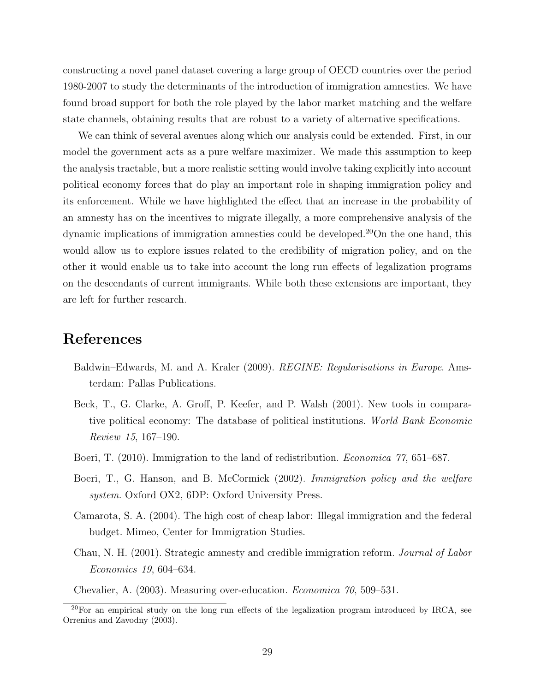constructing a novel panel dataset covering a large group of OECD countries over the period 1980-2007 to study the determinants of the introduction of immigration amnesties. We have found broad support for both the role played by the labor market matching and the welfare state channels, obtaining results that are robust to a variety of alternative specifications.

We can think of several avenues along which our analysis could be extended. First, in our model the government acts as a pure welfare maximizer. We made this assumption to keep the analysis tractable, but a more realistic setting would involve taking explicitly into account political economy forces that do play an important role in shaping immigration policy and its enforcement. While we have highlighted the effect that an increase in the probability of an amnesty has on the incentives to migrate illegally, a more comprehensive analysis of the dynamic implications of immigration amnesties could be developed.<sup>20</sup>On the one hand, this would allow us to explore issues related to the credibility of migration policy, and on the other it would enable us to take into account the long run effects of legalization programs on the descendants of current immigrants. While both these extensions are important, they are left for further research.

## **References**

- Baldwin–Edwards, M. and A. Kraler (2009). *REGINE: Regularisations in Europe*. Amsterdam: Pallas Publications.
- Beck, T., G. Clarke, A. Groff, P. Keefer, and P. Walsh (2001). New tools in comparative political economy: The database of political institutions. *World Bank Economic Review 15*, 167–190.
- Boeri, T. (2010). Immigration to the land of redistribution. *Economica 77*, 651–687.
- Boeri, T., G. Hanson, and B. McCormick (2002). *Immigration policy and the welfare system*. Oxford OX2, 6DP: Oxford University Press.
- Camarota, S. A. (2004). The high cost of cheap labor: Illegal immigration and the federal budget. Mimeo, Center for Immigration Studies.
- Chau, N. H. (2001). Strategic amnesty and credible immigration reform. *Journal of Labor Economics 19*, 604–634.

Chevalier, A. (2003). Measuring over-education. *Economica 70*, 509–531.

<sup>&</sup>lt;sup>20</sup>For an empirical study on the long run effects of the legalization program introduced by IRCA, see Orrenius and Zavodny (2003).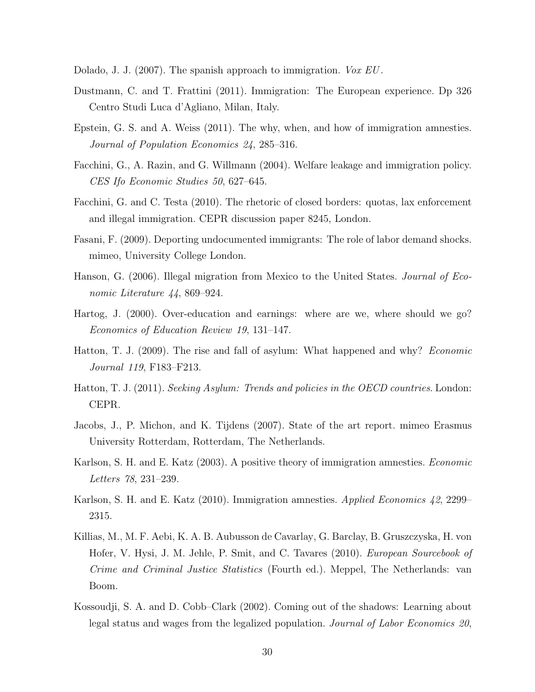- Dolado, J. J. (2007). The spanish approach to immigration. *Vox EU* .
- Dustmann, C. and T. Frattini (2011). Immigration: The European experience. Dp 326 Centro Studi Luca d'Agliano, Milan, Italy.
- Epstein, G. S. and A. Weiss (2011). The why, when, and how of immigration amnesties. *Journal of Population Economics 24*, 285–316.
- Facchini, G., A. Razin, and G. Willmann (2004). Welfare leakage and immigration policy. *CES Ifo Economic Studies 50*, 627–645.
- Facchini, G. and C. Testa (2010). The rhetoric of closed borders: quotas, lax enforcement and illegal immigration. CEPR discussion paper 8245, London.
- Fasani, F. (2009). Deporting undocumented immigrants: The role of labor demand shocks. mimeo, University College London.
- Hanson, G. (2006). Illegal migration from Mexico to the United States. *Journal of Economic Literature 44*, 869–924.
- Hartog, J. (2000). Over-education and earnings: where are we, where should we go? *Economics of Education Review 19*, 131–147.
- Hatton, T. J. (2009). The rise and fall of asylum: What happened and why? *Economic Journal 119*, F183–F213.
- Hatton, T. J. (2011). *Seeking Asylum: Trends and policies in the OECD countries*. London: CEPR.
- Jacobs, J., P. Michon, and K. Tijdens (2007). State of the art report. mimeo Erasmus University Rotterdam, Rotterdam, The Netherlands.
- Karlson, S. H. and E. Katz (2003). A positive theory of immigration amnesties. *Economic Letters 78*, 231–239.
- Karlson, S. H. and E. Katz (2010). Immigration amnesties. *Applied Economics 42*, 2299– 2315.
- Killias, M., M. F. Aebi, K. A. B. Aubusson de Cavarlay, G. Barclay, B. Gruszczyska, H. von Hofer, V. Hysi, J. M. Jehle, P. Smit, and C. Tavares (2010). *European Sourcebook of Crime and Criminal Justice Statistics* (Fourth ed.). Meppel, The Netherlands: van Boom.
- Kossoudji, S. A. and D. Cobb–Clark (2002). Coming out of the shadows: Learning about legal status and wages from the legalized population. *Journal of Labor Economics 20*,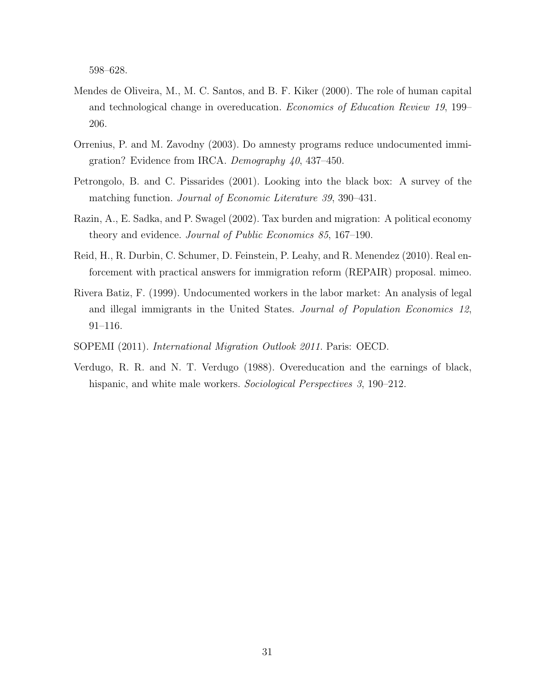598–628.

- Mendes de Oliveira, M., M. C. Santos, and B. F. Kiker (2000). The role of human capital and technological change in overeducation. *Economics of Education Review 19*, 199– 206.
- Orrenius, P. and M. Zavodny (2003). Do amnesty programs reduce undocumented immigration? Evidence from IRCA. *Demography 40*, 437–450.
- Petrongolo, B. and C. Pissarides (2001). Looking into the black box: A survey of the matching function. *Journal of Economic Literature 39*, 390–431.
- Razin, A., E. Sadka, and P. Swagel (2002). Tax burden and migration: A political economy theory and evidence. *Journal of Public Economics 85*, 167–190.
- Reid, H., R. Durbin, C. Schumer, D. Feinstein, P. Leahy, and R. Menendez (2010). Real enforcement with practical answers for immigration reform (REPAIR) proposal. mimeo.
- Rivera Batiz, F. (1999). Undocumented workers in the labor market: An analysis of legal and illegal immigrants in the United States. *Journal of Population Economics 12*, 91–116.
- SOPEMI (2011). *International Migration Outlook 2011*. Paris: OECD.
- Verdugo, R. R. and N. T. Verdugo (1988). Overeducation and the earnings of black, hispanic, and white male workers. *Sociological Perspectives 3*, 190–212.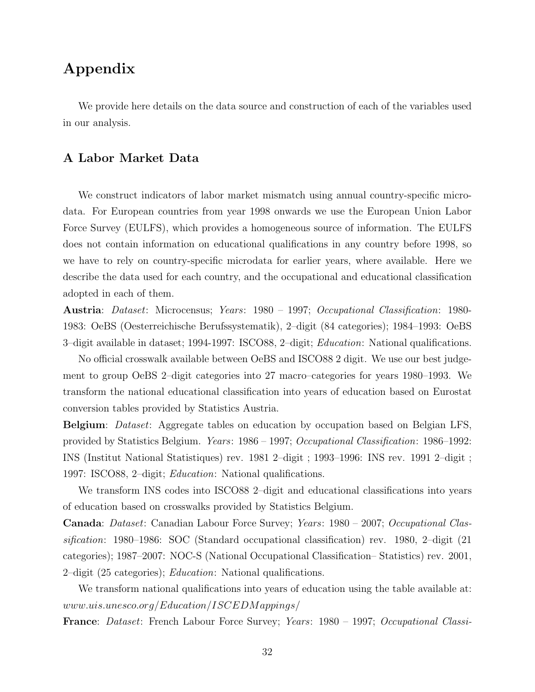## **Appendix**

We provide here details on the data source and construction of each of the variables used in our analysis.

### **A Labor Market Data**

We construct indicators of labor market mismatch using annual country-specific microdata. For European countries from year 1998 onwards we use the European Union Labor Force Survey (EULFS), which provides a homogeneous source of information. The EULFS does not contain information on educational qualifications in any country before 1998, so we have to rely on country-specific microdata for earlier years, where available. Here we describe the data used for each country, and the occupational and educational classification adopted in each of them.

**Austria**: *Dataset*: Microcensus; *Years*: 1980 – 1997; *Occupational Classification*: 1980- 1983: OeBS (Oesterreichische Berufssystematik), 2–digit (84 categories); 1984–1993: OeBS 3–digit available in dataset; 1994-1997: ISCO88, 2–digit; *Education*: National qualifications.

No official crosswalk available between OeBS and ISCO88 2 digit. We use our best judgement to group OeBS 2–digit categories into 27 macro–categories for years 1980–1993. We transform the national educational classification into years of education based on Eurostat conversion tables provided by Statistics Austria.

**Belgium**: *Dataset*: Aggregate tables on education by occupation based on Belgian LFS, provided by Statistics Belgium. *Years*: 1986 – 1997; *Occupational Classification*: 1986–1992: INS (Institut National Statistiques) rev. 1981 2–digit ; 1993–1996: INS rev. 1991 2–digit ; 1997: ISCO88, 2–digit; *Education*: National qualifications.

We transform INS codes into ISCO88 2–digit and educational classifications into years of education based on crosswalks provided by Statistics Belgium.

**Canada**: *Dataset*: Canadian Labour Force Survey; *Years*: 1980 – 2007; *Occupational Classification*: 1980–1986: SOC (Standard occupational classification) rev. 1980, 2–digit (21 categories); 1987–2007: NOC-S (National Occupational Classification– Statistics) rev. 2001, 2–digit (25 categories); *Education*: National qualifications.

We transform national qualifications into years of education using the table available at: *www.uis.unesco.org/Education/ISCEDM appings/*

**France**: *Dataset*: French Labour Force Survey; *Years*: 1980 – 1997; *Occupational Classi-*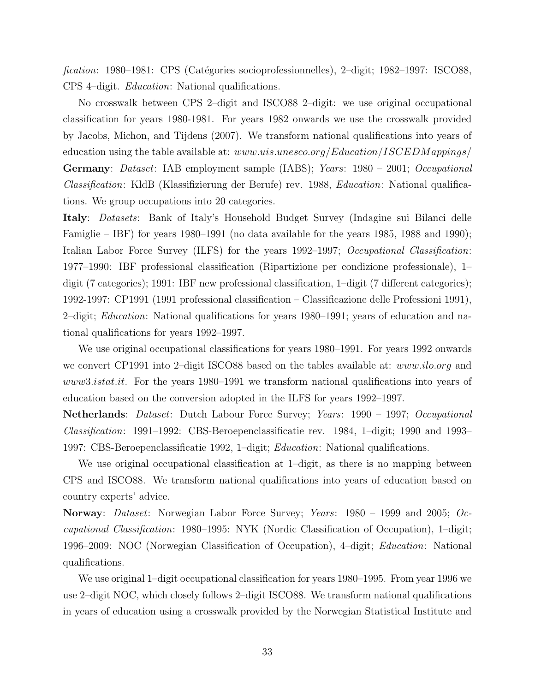*fication*: 1980–1981: CPS (Catégories socioprofessionnelles), 2-digit; 1982–1997: ISCO88, CPS 4–digit. *Education*: National qualifications.

No crosswalk between CPS 2–digit and ISCO88 2–digit: we use original occupational classification for years 1980-1981. For years 1982 onwards we use the crosswalk provided by Jacobs, Michon, and Tijdens (2007). We transform national qualifications into years of education using the table available at: *www.uis.unesco.org/Education/ISCEDM appings/* **Germany**: *Dataset*: IAB employment sample (IABS); *Years*: 1980 – 2001; *Occupational Classification*: KldB (Klassifizierung der Berufe) rev. 1988, *Education*: National qualifications. We group occupations into 20 categories.

**Italy**: *Datasets*: Bank of Italy's Household Budget Survey (Indagine sui Bilanci delle Famiglie – IBF) for years 1980–1991 (no data available for the years 1985, 1988 and 1990); Italian Labor Force Survey (ILFS) for the years 1992–1997; *Occupational Classification*: 1977–1990: IBF professional classification (Ripartizione per condizione professionale), 1– digit (7 categories); 1991: IBF new professional classification, 1–digit (7 different categories); 1992-1997: CP1991 (1991 professional classification – Classificazione delle Professioni 1991), 2–digit; *Education*: National qualifications for years 1980–1991; years of education and national qualifications for years 1992–1997.

We use original occupational classifications for years 1980–1991. For years 1992 onwards we convert CP1991 into 2–digit ISCO88 based on the tables available at: *www.ilo.org* and *www*3*.istat.it*. For the years 1980–1991 we transform national qualifications into years of education based on the conversion adopted in the ILFS for years 1992–1997.

**Netherlands**: *Dataset*: Dutch Labour Force Survey; *Years*: 1990 – 1997; *Occupational Classification*: 1991–1992: CBS-Beroepenclassificatie rev. 1984, 1–digit; 1990 and 1993– 1997: CBS-Beroepenclassificatie 1992, 1–digit; *Education*: National qualifications.

We use original occupational classification at 1-digit, as there is no mapping between CPS and ISCO88. We transform national qualifications into years of education based on country experts' advice.

**Norway**: *Dataset*: Norwegian Labor Force Survey; *Years*: 1980 – 1999 and 2005; *Occupational Classification*: 1980–1995: NYK (Nordic Classification of Occupation), 1–digit; 1996–2009: NOC (Norwegian Classification of Occupation), 4–digit; *Education*: National qualifications.

We use original 1–digit occupational classification for years 1980–1995. From year 1996 we use 2–digit NOC, which closely follows 2–digit ISCO88. We transform national qualifications in years of education using a crosswalk provided by the Norwegian Statistical Institute and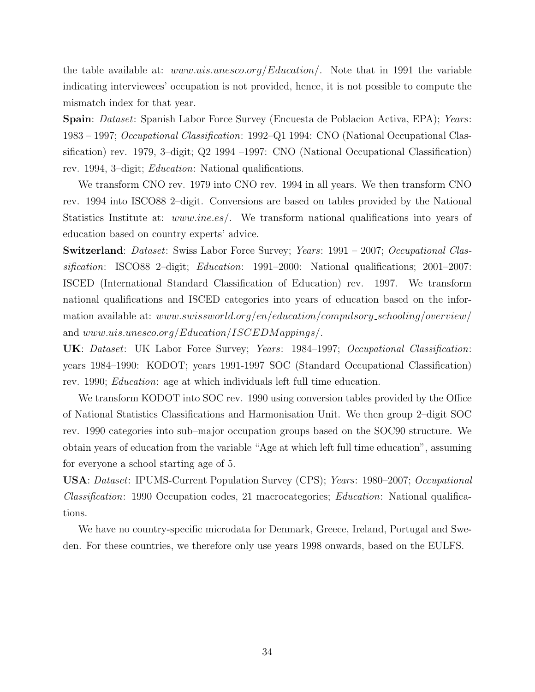the table available at: *www.uis.unesco.org/Education/*. Note that in 1991 the variable indicating interviewees' occupation is not provided, hence, it is not possible to compute the mismatch index for that year.

**Spain**: *Dataset*: Spanish Labor Force Survey (Encuesta de Poblacion Activa, EPA); *Years*: 1983 – 1997; *Occupational Classification*: 1992–Q1 1994: CNO (National Occupational Classification) rev. 1979, 3–digit; Q2 1994 –1997: CNO (National Occupational Classification) rev. 1994, 3–digit; *Education*: National qualifications.

We transform CNO rev. 1979 into CNO rev. 1994 in all years. We then transform CNO rev. 1994 into ISCO88 2–digit. Conversions are based on tables provided by the National Statistics Institute at: *www.ine.es/*. We transform national qualifications into years of education based on country experts' advice.

**Switzerland**: *Dataset*: Swiss Labor Force Survey; *Years*: 1991 – 2007; *Occupational Classification*: ISCO88 2–digit; *Education*: 1991–2000: National qualifications; 2001–2007: ISCED (International Standard Classification of Education) rev. 1997. We transform national qualifications and ISCED categories into years of education based on the information available at: *www.swissworld.org/en/education/compulsory schooling/overview/* and *www.uis.unesco.org/Education/ISCEDM appings/*.

**UK**: *Dataset*: UK Labor Force Survey; *Years*: 1984–1997; *Occupational Classification*: years 1984–1990: KODOT; years 1991-1997 SOC (Standard Occupational Classification) rev. 1990; *Education*: age at which individuals left full time education.

We transform KODOT into SOC rev. 1990 using conversion tables provided by the Office of National Statistics Classifications and Harmonisation Unit. We then group 2–digit SOC rev. 1990 categories into sub–major occupation groups based on the SOC90 structure. We obtain years of education from the variable "Age at which left full time education", assuming for everyone a school starting age of 5.

**USA**: *Dataset*: IPUMS-Current Population Survey (CPS); *Years*: 1980–2007; *Occupational Classification*: 1990 Occupation codes, 21 macrocategories; *Education*: National qualifications.

We have no country-specific microdata for Denmark, Greece, Ireland, Portugal and Sweden. For these countries, we therefore only use years 1998 onwards, based on the EULFS.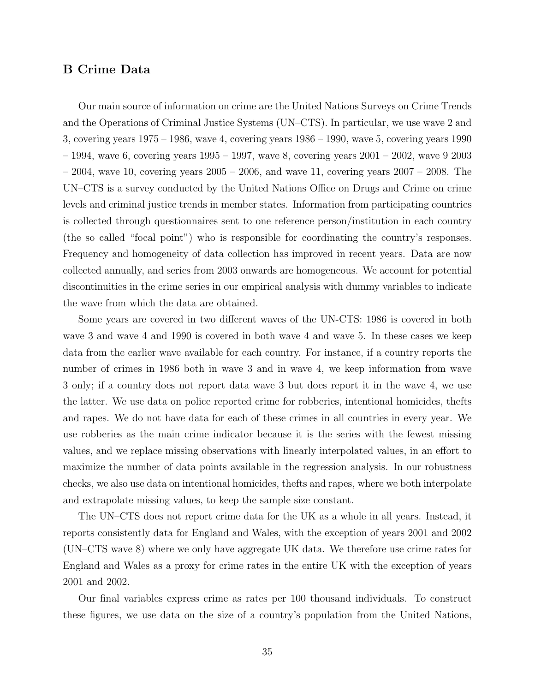### **B Crime Data**

Our main source of information on crime are the United Nations Surveys on Crime Trends and the Operations of Criminal Justice Systems (UN–CTS). In particular, we use wave 2 and 3, covering years 1975 – 1986, wave 4, covering years 1986 – 1990, wave 5, covering years 1990  $-1994$ , wave 6, covering years  $1995 - 1997$ , wave 8, covering years  $2001 - 2002$ , wave 9 2003  $-2004$ , wave 10, covering years  $2005 - 2006$ , and wave 11, covering years  $2007 - 2008$ . The UN–CTS is a survey conducted by the United Nations Office on Drugs and Crime on crime levels and criminal justice trends in member states. Information from participating countries is collected through questionnaires sent to one reference person/institution in each country (the so called "focal point") who is responsible for coordinating the country's responses. Frequency and homogeneity of data collection has improved in recent years. Data are now collected annually, and series from 2003 onwards are homogeneous. We account for potential discontinuities in the crime series in our empirical analysis with dummy variables to indicate the wave from which the data are obtained.

Some years are covered in two different waves of the UN-CTS: 1986 is covered in both wave 3 and wave 4 and 1990 is covered in both wave 4 and wave 5. In these cases we keep data from the earlier wave available for each country. For instance, if a country reports the number of crimes in 1986 both in wave 3 and in wave 4, we keep information from wave 3 only; if a country does not report data wave 3 but does report it in the wave 4, we use the latter. We use data on police reported crime for robberies, intentional homicides, thefts and rapes. We do not have data for each of these crimes in all countries in every year. We use robberies as the main crime indicator because it is the series with the fewest missing values, and we replace missing observations with linearly interpolated values, in an effort to maximize the number of data points available in the regression analysis. In our robustness checks, we also use data on intentional homicides, thefts and rapes, where we both interpolate and extrapolate missing values, to keep the sample size constant.

The UN–CTS does not report crime data for the UK as a whole in all years. Instead, it reports consistently data for England and Wales, with the exception of years 2001 and 2002 (UN–CTS wave 8) where we only have aggregate UK data. We therefore use crime rates for England and Wales as a proxy for crime rates in the entire UK with the exception of years 2001 and 2002.

Our final variables express crime as rates per 100 thousand individuals. To construct these figures, we use data on the size of a country's population from the United Nations,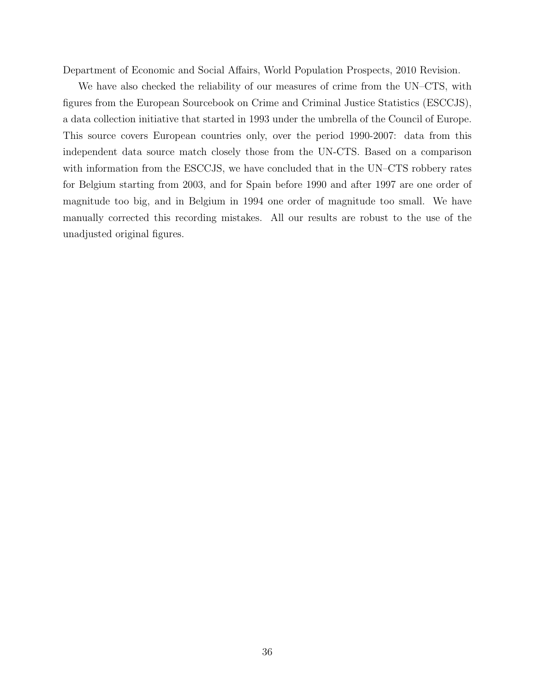Department of Economic and Social Affairs, World Population Prospects, 2010 Revision.

We have also checked the reliability of our measures of crime from the UN–CTS, with figures from the European Sourcebook on Crime and Criminal Justice Statistics (ESCCJS), a data collection initiative that started in 1993 under the umbrella of the Council of Europe. This source covers European countries only, over the period 1990-2007: data from this independent data source match closely those from the UN-CTS. Based on a comparison with information from the ESCCJS, we have concluded that in the UN–CTS robbery rates for Belgium starting from 2003, and for Spain before 1990 and after 1997 are one order of magnitude too big, and in Belgium in 1994 one order of magnitude too small. We have manually corrected this recording mistakes. All our results are robust to the use of the unadjusted original figures.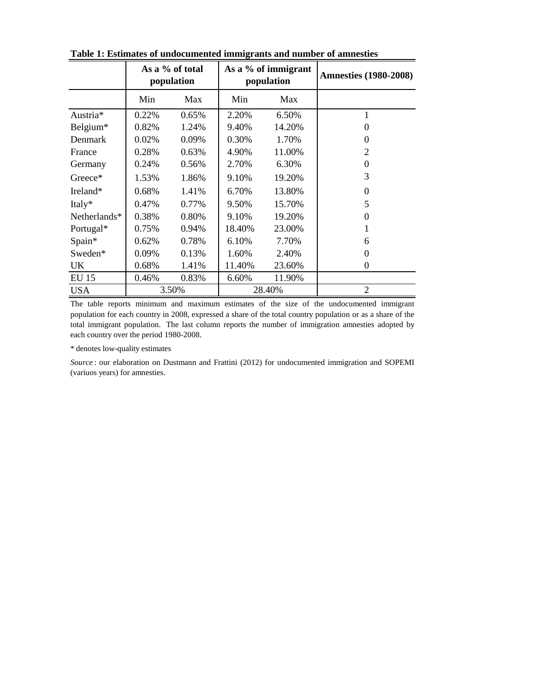|                |       | As a % of total<br>population |        | As a % of immigrant<br>population | <b>Amnesties (1980-2008)</b> |
|----------------|-------|-------------------------------|--------|-----------------------------------|------------------------------|
|                | Min   | Max                           | Min    | Max                               |                              |
| Austria*       | 0.22% | 0.65%                         | 2.20%  | 6.50%                             | 1                            |
| Belgium*       | 0.82% | 1.24%                         | 9.40%  | 14.20%                            | $\theta$                     |
| <b>Denmark</b> | 0.02% | 0.09%                         | 0.30%  | 1.70%                             | $\theta$                     |
| France         | 0.28% | 0.63%                         | 4.90%  | 11.00%                            | $\overline{2}$               |
| Germany        | 0.24% | 0.56%                         | 2.70%  | 6.30%                             | $\overline{0}$               |
| Greece*        | 1.53% | 1.86%                         | 9.10%  | 19.20%                            | 3                            |
| Ireland*       | 0.68% | 1.41%                         | 6.70%  | 13.80%                            | $\Omega$                     |
| Italy*         | 0.47% | 0.77%                         | 9.50%  | 15.70%                            | 5                            |
| Netherlands*   | 0.38% | 0.80%                         | 9.10%  | 19.20%                            | $\Omega$                     |
| Portugal*      | 0.75% | 0.94%                         | 18.40% | 23.00%                            | 1                            |
| Spain*         | 0.62% | 0.78%                         | 6.10%  | 7.70%                             | 6                            |
| Sweden*        | 0.09% | 0.13%                         | 1.60%  | 2.40%                             | 0                            |
| UK             | 0.68% | 1.41%                         | 11.40% | 23.60%                            | 0                            |
| <b>EU 15</b>   | 0.46% | 0.83%                         | 6.60%  | 11.90%                            |                              |
| <b>USA</b>     |       | 3.50%                         |        | 28.40%                            | $\overline{2}$               |

**Table 1: Estimates of undocumented immigrants and number of amnesties**

The table reports minimum and maximum estimates of the size of the undocumented immigrant population for each country in 2008, expressed a share of the total country population or as a share of the total immigrant population. The last column reports the number of immigration amnesties adopted by each country over the period 1980-2008.

\* denotes low-quality estimates

*Source* : our elaboration on Dustmann and Frattini (2012) for undocumented immigration and SOPEMI (variuos years) for amnesties.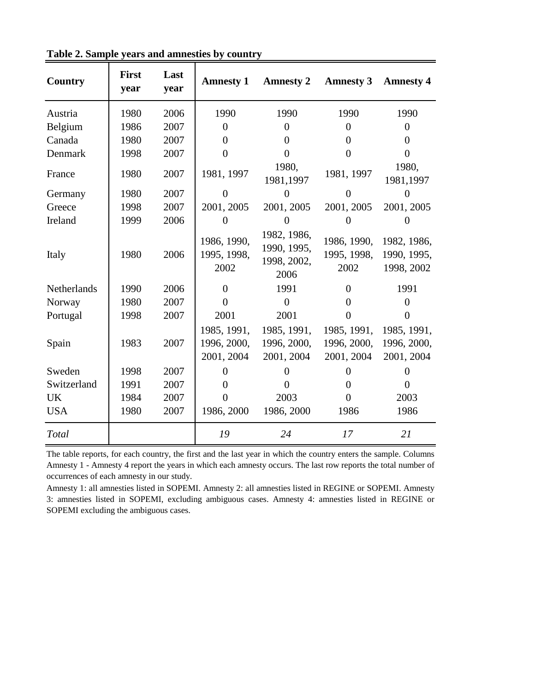| <b>Country</b> | <b>First</b><br>year | Last<br>year | <b>Amnesty 1</b>                         | <b>Amnesty 2</b>                                  | <b>Amnesty 3</b>                         | <b>Amnesty 4</b>                         |
|----------------|----------------------|--------------|------------------------------------------|---------------------------------------------------|------------------------------------------|------------------------------------------|
| Austria        | 1980                 | 2006         | 1990                                     | 1990                                              | 1990                                     | 1990                                     |
| Belgium        | 1986                 | 2007         | $\Omega$                                 | $\theta$                                          | $\Omega$                                 | $\Omega$                                 |
| Canada         | 1980                 | 2007         | $\theta$                                 | $\theta$                                          | $\Omega$                                 | $\theta$                                 |
| Denmark        | 1998                 | 2007         | 0                                        | 0                                                 | $\overline{0}$                           | $\theta$                                 |
| France         | 1980                 | 2007         | 1981, 1997                               | 1980,<br>1981,1997                                | 1981, 1997                               | 1980,<br>1981,1997                       |
| Germany        | 1980                 | 2007         | $\theta$                                 | $\theta$                                          | 0                                        | 0                                        |
| Greece         | 1998                 | 2007         | 2001, 2005                               | 2001, 2005                                        | 2001, 2005                               | 2001, 2005                               |
| Ireland        | 1999                 | 2006         | $\theta$                                 | $\theta$                                          | $\theta$                                 | 0                                        |
| Italy          | 1980                 | 2006         | 1986, 1990,<br>1995, 1998,<br>2002       | 1982, 1986,<br>1990, 1995,<br>1998, 2002,<br>2006 | 1986, 1990,<br>1995, 1998,<br>2002       | 1982, 1986,<br>1990, 1995,<br>1998, 2002 |
| Netherlands    | 1990                 | 2006         | $\overline{0}$                           | 1991                                              | $\theta$                                 | 1991                                     |
| Norway         | 1980                 | 2007         | $\theta$                                 | $\overline{0}$                                    | 0                                        | $\theta$                                 |
| Portugal       | 1998                 | 2007         | 2001                                     | 2001                                              | $\overline{0}$                           | 0                                        |
| Spain          | 1983                 | 2007         | 1985, 1991,<br>1996, 2000,<br>2001, 2004 | 1985, 1991,<br>1996, 2000,<br>2001, 2004          | 1985, 1991,<br>1996, 2000,<br>2001, 2004 | 1985, 1991,<br>1996, 2000,<br>2001, 2004 |
| Sweden         | 1998                 | 2007         | 0                                        | 0                                                 | 0                                        | 0                                        |
| Switzerland    | 1991                 | 2007         | $\theta$                                 | $\Omega$                                          | $\mathbf{0}$                             | $\Omega$                                 |
| <b>UK</b>      | 1984                 | 2007         | $\Omega$                                 | 2003                                              | $\theta$                                 | 2003                                     |
| <b>USA</b>     | 1980                 | 2007         | 1986, 2000                               | 1986, 2000                                        | 1986                                     | 1986                                     |
| Total          |                      |              | 19                                       | 24                                                | 17                                       | 21                                       |

**Table 2. Sample years and amnesties by country**

The table reports, for each country, the first and the last year in which the country enters the sample. Columns Amnesty 1 - Amnesty 4 report the years in which each amnesty occurs. The last row reports the total number of occurrences of each amnesty in our study.

Amnesty 1: all amnesties listed in SOPEMI. Amnesty 2: all amnesties listed in REGINE or SOPEMI. Amnesty 3: amnesties listed in SOPEMI, excluding ambiguous cases. Amnesty 4: amnesties listed in REGINE or SOPEMI excluding the ambiguous cases.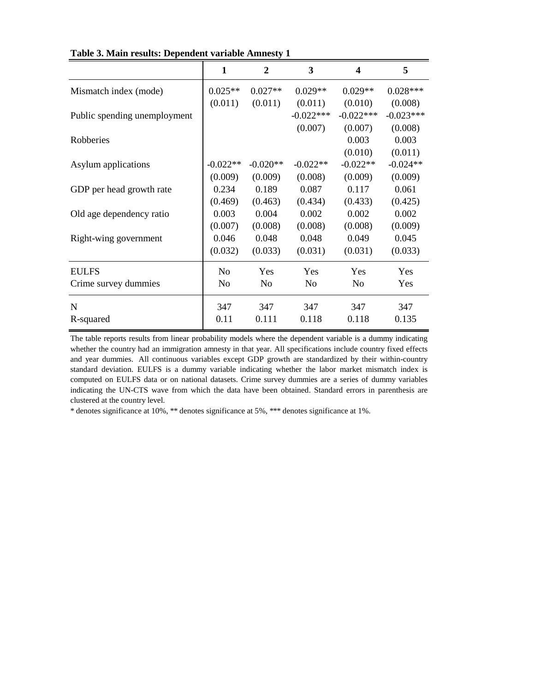|                              | $\mathbf{1}$ | $\mathbf{2}$   | 3           | $\overline{\mathbf{4}}$ | 5           |
|------------------------------|--------------|----------------|-------------|-------------------------|-------------|
| Mismatch index (mode)        | $0.025**$    | $0.027**$      | $0.029**$   | $0.029**$               | $0.028***$  |
|                              | (0.011)      | (0.011)        | (0.011)     | (0.010)                 | (0.008)     |
| Public spending unemployment |              |                | $-0.022***$ | $-0.022$ ***            | $-0.023***$ |
|                              |              |                | (0.007)     | (0.007)                 | (0.008)     |
| Robberies                    |              |                |             | 0.003                   | 0.003       |
|                              |              |                |             | (0.010)                 | (0.011)     |
| Asylum applications          | $-0.022**$   | $-0.020**$     | $-0.022**$  | $-0.022**$              | $-0.024**$  |
|                              | (0.009)      | (0.009)        | (0.008)     | (0.009)                 | (0.009)     |
| GDP per head growth rate     | 0.234        | 0.189          | 0.087       | 0.117                   | 0.061       |
|                              | (0.469)      | (0.463)        | (0.434)     | (0.433)                 | (0.425)     |
| Old age dependency ratio     | 0.003        | 0.004          | 0.002       | 0.002                   | 0.002       |
|                              | (0.007)      | (0.008)        | (0.008)     | (0.008)                 | (0.009)     |
| Right-wing government        | 0.046        | 0.048          | 0.048       | 0.049                   | 0.045       |
|                              | (0.032)      | (0.033)        | (0.031)     | (0.031)                 | (0.033)     |
| <b>EULFS</b>                 | No           | Yes            | Yes         | Yes                     | Yes         |
| Crime survey dummies         | No           | N <sub>0</sub> | No          | N <sub>0</sub>          | Yes         |
| N                            | 347          | 347            | 347         | 347                     | 347         |
| R-squared                    | 0.11         | 0.111          | 0.118       | 0.118                   | 0.135       |

**Table 3. Main results: Dependent variable Amnesty 1**

The table reports results from linear probability models where the dependent variable is a dummy indicating whether the country had an immigration amnesty in that year. All specifications include country fixed effects and year dummies. All continuous variables except GDP growth are standardized by their within-country standard deviation. EULFS is a dummy variable indicating whether the labor market mismatch index is computed on EULFS data or on national datasets. Crime survey dummies are a series of dummy variables indicating the UN-CTS wave from which the data have been obtained. Standard errors in parenthesis are clustered at the country level.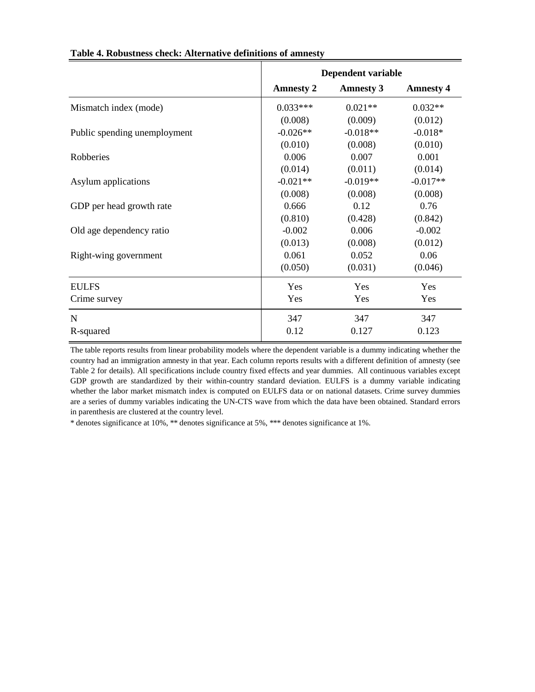|                              |                  | Dependent variable |                  |
|------------------------------|------------------|--------------------|------------------|
|                              | <b>Amnesty 2</b> | <b>Amnesty 3</b>   | <b>Amnesty 4</b> |
| Mismatch index (mode)        | $0.033***$       | $0.021**$          | $0.032**$        |
|                              | (0.008)          | (0.009)            | (0.012)          |
| Public spending unemployment | $-0.026**$       | $-0.018**$         | $-0.018*$        |
|                              | (0.010)          | (0.008)            | (0.010)          |
| Robberies                    | 0.006            | 0.007              | 0.001            |
|                              | (0.014)          | (0.011)            | (0.014)          |
| Asylum applications          | $-0.021**$       | $-0.019**$         | $-0.017**$       |
|                              | (0.008)          | (0.008)            | (0.008)          |
| GDP per head growth rate     | 0.666            | 0.12               | 0.76             |
|                              | (0.810)          | (0.428)            | (0.842)          |
| Old age dependency ratio     | $-0.002$         | 0.006              | $-0.002$         |
|                              | (0.013)          | (0.008)            | (0.012)          |
| Right-wing government        | 0.061            | 0.052              | 0.06             |
|                              | (0.050)          | (0.031)            | (0.046)          |
| <b>EULFS</b>                 | Yes              | Yes                | Yes              |
| Crime survey                 | Yes              | Yes                | Yes              |
| N                            | 347              | 347                | 347              |
| R-squared                    | 0.12             | 0.127              | 0.123            |

#### **Table 4. Robustness check: Alternative definitions of amnesty**

The table reports results from linear probability models where the dependent variable is a dummy indicating whether the country had an immigration amnesty in that year. Each column reports results with a different definition of amnesty (see Table 2 for details). All specifications include country fixed effects and year dummies. All continuous variables except GDP growth are standardized by their within-country standard deviation. EULFS is a dummy variable indicating whether the labor market mismatch index is computed on EULFS data or on national datasets. Crime survey dummies are a series of dummy variables indicating the UN-CTS wave from which the data have been obtained. Standard errors in parenthesis are clustered at the country level.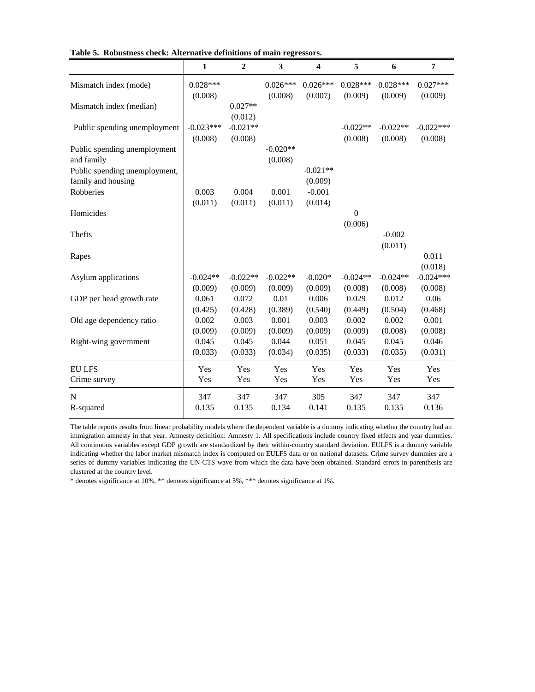|                               | $\mathbf{1}$ | $\overline{2}$ | 3          | 4          | 5              | 6          | 7           |
|-------------------------------|--------------|----------------|------------|------------|----------------|------------|-------------|
| Mismatch index (mode)         | $0.028***$   |                | $0.026***$ | $0.026***$ | $0.028***$     | $0.028***$ | $0.027***$  |
|                               | (0.008)      |                | (0.008)    | (0.007)    | (0.009)        | (0.009)    | (0.009)     |
| Mismatch index (median)       |              | $0.027**$      |            |            |                |            |             |
|                               |              | (0.012)        |            |            |                |            |             |
| Public spending unemployment  | $-0.023***$  | $-0.021**$     |            |            | $-0.022**$     | $-0.022**$ | $-0.022***$ |
|                               | (0.008)      | (0.008)        |            |            | (0.008)        | (0.008)    | (0.008)     |
| Public spending unemployment  |              |                | $-0.020**$ |            |                |            |             |
| and family                    |              |                | (0.008)    |            |                |            |             |
| Public spending unemployment, |              |                |            | $-0.021**$ |                |            |             |
| family and housing            |              |                |            | (0.009)    |                |            |             |
| Robberies                     | 0.003        | 0.004          | 0.001      | $-0.001$   |                |            |             |
|                               | (0.011)      | (0.011)        | (0.011)    | (0.014)    |                |            |             |
| Homicides                     |              |                |            |            | $\overline{0}$ |            |             |
|                               |              |                |            |            | (0.006)        |            |             |
| Thefts                        |              |                |            |            |                | $-0.002$   |             |
|                               |              |                |            |            |                | (0.011)    |             |
| Rapes                         |              |                |            |            |                |            | 0.011       |
|                               |              |                |            |            |                |            | (0.018)     |
| Asylum applications           | $-0.024**$   | $-0.022**$     | $-0.022**$ | $-0.020*$  | $-0.024**$     | $-0.024**$ | $-0.024***$ |
|                               | (0.009)      | (0.009)        | (0.009)    | (0.009)    | (0.008)        | (0.008)    | (0.008)     |
| GDP per head growth rate      | 0.061        | 0.072          | 0.01       | 0.006      | 0.029          | 0.012      | 0.06        |
|                               | (0.425)      | (0.428)        | (0.389)    | (0.540)    | (0.449)        | (0.504)    | (0.468)     |
| Old age dependency ratio      | 0.002        | 0.003          | 0.001      | 0.003      | 0.002          | 0.002      | 0.001       |
|                               | (0.009)      | (0.009)        | (0.009)    | (0.009)    | (0.009)        | (0.008)    | (0.008)     |
| Right-wing government         | 0.045        | 0.045          | 0.044      | 0.051      | 0.045          | 0.045      | 0.046       |
|                               | (0.033)      | (0.033)        | (0.034)    | (0.035)    | (0.033)        | (0.035)    | (0.031)     |
| <b>EU LFS</b>                 | Yes          | Yes            | Yes        | Yes        | Yes            | Yes        | Yes         |
| Crime survey                  | Yes          | Yes            | Yes        | Yes        | Yes            | Yes        | Yes         |
| N                             | 347          | 347            | 347        | 305        | 347            | 347        | 347         |
| R-squared                     | 0.135        | 0.135          | 0.134      | 0.141      | 0.135          | 0.135      | 0.136       |

| Table 5. Robustness check: Alternative definitions of main regressors. |
|------------------------------------------------------------------------|
|------------------------------------------------------------------------|

The table reports results from linear probability models where the dependent variable is a dummy indicating whether the country had an immigration amnesty in that year. Amnesty definition: Amnesty 1. All specifications include country fixed effects and year dummies. All continuous variables except GDP growth are standardized by their within-country standard deviation. EULFS is a dummy variable indicating whether the labor market mismatch index is computed on EULFS data or on national datasets. Crime survey dummies are a series of dummy variables indicating the UN-CTS wave from which the data have been obtained. Standard errors in parenthesis are clustered at the country level.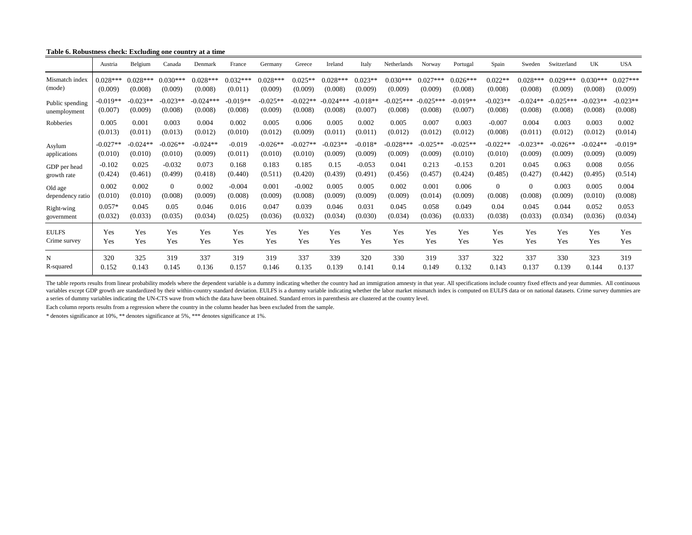|                  | Austria    | Belgium    | Canada     | Denmark    | France     | Germany    | Greece     | Ireland     | Italy      | Netherlands | Norway      | Portugal   | Spain      | Sweden     | Switzerland | UK         | <b>USA</b> |
|------------------|------------|------------|------------|------------|------------|------------|------------|-------------|------------|-------------|-------------|------------|------------|------------|-------------|------------|------------|
| Mismatch index   | $0.028***$ | $0.028***$ | $0.030***$ | $0.028***$ | $0.032***$ | $0.028***$ | $0.025**$  | $0.028***$  | $0.023**$  | $0.030***$  | $0.027***$  | $0.026***$ | $0.022**$  | $0.028***$ | $0.029***$  | $0.030***$ | $0.027***$ |
| (mode)           | (0.009)    | (0.008)    | (0.009)    | (0.008)    | (0.011)    | (0.009)    | (0.009)    | (0.008)     | (0.009)    | (0.009)     | (0.009)     | (0.008)    | (0.008)    | (0.008)    | (0.009)     | (0.008)    | (0.009)    |
| Public spending  | $-0.019**$ | $-0.023**$ | $-0.023**$ | $0.024***$ | $-0.019**$ | $-0.025**$ | $-0.022**$ | $-0.024***$ | $-0.018**$ | $-0.025***$ | $-0.025***$ | $-0.019**$ | $-0.023**$ | $-0.024**$ | $-0.025***$ | $-0.023**$ | $-0.023**$ |
| unemployment     | (0.007)    | (0.009)    | (0.008)    | (0.008)    | (0.008)    | (0.009)    | (0.008)    | (0.008)     | (0.007)    | (0.008)     | (0.008)     | (0.007)    | (0.008)    | (0.008)    | (0.008)     | (0.008)    | (0.008)    |
| Robberies        | 0.005      | 0.001      | 0.003      | 0.004      | 0.002      | 0.005      | 0.006      | 0.005       | 0.002      | 0.005       | 0.007       | 0.003      | $-0.007$   | 0.004      | 0.003       | 0.003      | 0.002      |
|                  | (0.013)    | (0.011)    | (0.013)    | (0.012)    | (0.010)    | (0.012)    | (0.009)    | (0.011)     | (0.011)    | (0.012)     | (0.012)     | (0.012)    | (0.008)    | (0.011)    | (0.012)     | (0.012)    | (0.014)    |
| Asylum           | $-0.027**$ | $-0.024**$ | $-0.026**$ | $-0.024**$ | $-0.019$   | $-0.026**$ | $-0.027**$ | $-0.023**$  | $-0.018*$  | $-0.028***$ | $-0.025**$  | $-0.025**$ | $-0.022**$ | $-0.023**$ | $-0.026**$  | $-0.024**$ | $-0.019*$  |
| applications     | (0.010)    | (0.010)    | (0.010)    | (0.009)    | (0.011)    | (0.010)    | (0.010)    | (0.009)     | (0.009)    | (0.009)     | (0.009)     | (0.010)    | (0.010)    | (0.009)    | (0.009)     | (0.009)    | (0.009)    |
| GDP per head     | $-0.102$   | 0.025      | $-0.032$   | 0.073      | 0.168      | 0.183      | 0.185      | 0.15        | $-0.053$   | 0.041       | 0.213       | $-0.153$   | 0.201      | 0.045      | 0.063       | 0.008      | 0.056      |
| growth rate      | (0.424)    | (0.461)    | (0.499)    | (0.418)    | (0.440)    | (0.511)    | (0.420)    | (0.439)     | (0.491)    | (0.456)     | (0.457)     | (0.424)    | (0.485)    | (0.427)    | (0.442)     | (0.495)    | (0.514)    |
| Old age          | 0.002      | 0.002      | $\Omega$   | 0.002      | $-0.004$   | 0.001      | $-0.002$   | 0.005       | 0.005      | 0.002       | 0.001       | 0.006      | $\Omega$   | $\Omega$   | 0.003       | 0.005      | 0.004      |
| dependency ratio | (0.010)    | (0.010)    | (0.008)    | (0.009)    | (0.008)    | (0.009)    | (0.008)    | (0.009)     | (0.009)    | (0.009)     | (0.014)     | (0.009)    | (0.008)    | (0.008)    | (0.009)     | (0.010)    | (0.008)    |
| Right-wing       | $0.057*$   | 0.045      | 0.05       | 0.046      | 0.016      | 0.047      | 0.039      | 0.046       | 0.031      | 0.045       | 0.058       | 0.049      | 0.04       | 0.045      | 0.044       | 0.052      | 0.053      |
| government       | (0.032)    | (0.033)    | (0.035)    | (0.034)    | (0.025)    | (0.036)    | (0.032)    | (0.034)     | (0.030)    | (0.034)     | (0.036)     | (0.033)    | (0.038)    | (0.033)    | (0.034)     | (0.036)    | (0.034)    |
| <b>EULFS</b>     | Yes        | Yes        | Yes        | Yes        | Yes        | Yes        | Yes        | Yes         | Yes        | Yes         | Yes         | Yes        | Yes        | Yes        | Yes         | Yes        | Yes        |
| Crime survey     | Yes        | Yes        | Yes        | Yes        | Yes        | Yes        | Yes        | Yes         | Yes        | Yes         | Yes         | Yes        | Yes        | Yes        | Yes         | Yes        | Yes        |
| N                | 320        | 325        | 319        | 337        | 319        | 319        | 337        | 339         | 320        | 330         | 319         | 337        | 322        | 337        | 330         | 323        | 319        |
| R-squared        | 0.152      | 0.143      | 0.145      | 0.136      | 0.157      | 0.146      | 0.135      | 0.139       | 0.141      | 0.14        | 0.149       | 0.132      | 0.143      | 0.137      | 0.139       | 0.144      | 0.137      |

#### **Table 6. Robustness check: Excluding one country at a time**

The table reports results from linear probability models where the dependent variable is a dummy indicating whether the country had an immigration amnesty in that year. All specifications include country fixed effects and variables except GDP growth are standardized by their within-country standard deviation. EULFS is a dummy variable indicating whether the labor market mismatch index is computed on EULFS data or on national datasets. Crime a series of dummy variables indicating the UN-CTS wave from which the data have been obtained. Standard errors in parenthesis are clustered at the country level.

Each column reports results from a regression where the country in the column header has been excluded from the sample.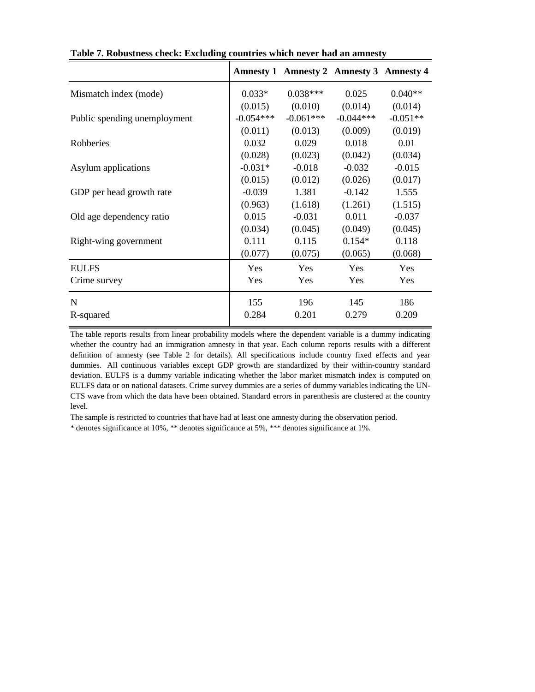|                              |             | Amnesty 1 Amnesty 2 Amnesty 3 Amnesty 4 |             |            |
|------------------------------|-------------|-----------------------------------------|-------------|------------|
| Mismatch index (mode)        | $0.033*$    | $0.038***$                              | 0.025       | $0.040**$  |
|                              | (0.015)     | (0.010)                                 | (0.014)     | (0.014)    |
| Public spending unemployment | $-0.054***$ | $-0.061***$                             | $-0.044***$ | $-0.051**$ |
|                              | (0.011)     | (0.013)                                 | (0.009)     | (0.019)    |
| Robberies                    | 0.032       | 0.029                                   | 0.018       | 0.01       |
|                              | (0.028)     | (0.023)                                 | (0.042)     | (0.034)    |
| Asylum applications          | $-0.031*$   | $-0.018$                                | $-0.032$    | $-0.015$   |
|                              | (0.015)     | (0.012)                                 | (0.026)     | (0.017)    |
| GDP per head growth rate     | $-0.039$    | 1.381                                   | $-0.142$    | 1.555      |
|                              | (0.963)     | (1.618)                                 | (1.261)     | (1.515)    |
| Old age dependency ratio     | 0.015       | $-0.031$                                | 0.011       | $-0.037$   |
|                              | (0.034)     | (0.045)                                 | (0.049)     | (0.045)    |
| Right-wing government        | 0.111       | 0.115                                   | $0.154*$    | 0.118      |
|                              | (0.077)     | (0.075)                                 | (0.065)     | (0.068)    |
| <b>EULFS</b>                 | Yes         | Yes                                     | Yes         | Yes        |
| Crime survey                 | Yes         | Yes                                     | Yes         | Yes        |
| N                            | 155         | 196                                     | 145         | 186        |
| R-squared                    | 0.284       | 0.201                                   | 0.279       | 0.209      |

**Table 7. Robustness check: Excluding countries which never had an amnesty**

The table reports results from linear probability models where the dependent variable is a dummy indicating whether the country had an immigration amnesty in that year. Each column reports results with a different definition of amnesty (see Table 2 for details). All specifications include country fixed effects and year dummies. All continuous variables except GDP growth are standardized by their within-country standard deviation. EULFS is a dummy variable indicating whether the labor market mismatch index is computed on EULFS data or on national datasets. Crime survey dummies are a series of dummy variables indicating the UN-CTS wave from which the data have been obtained. Standard errors in parenthesis are clustered at the country level.

The sample is restricted to countries that have had at least one amnesty during the observation period.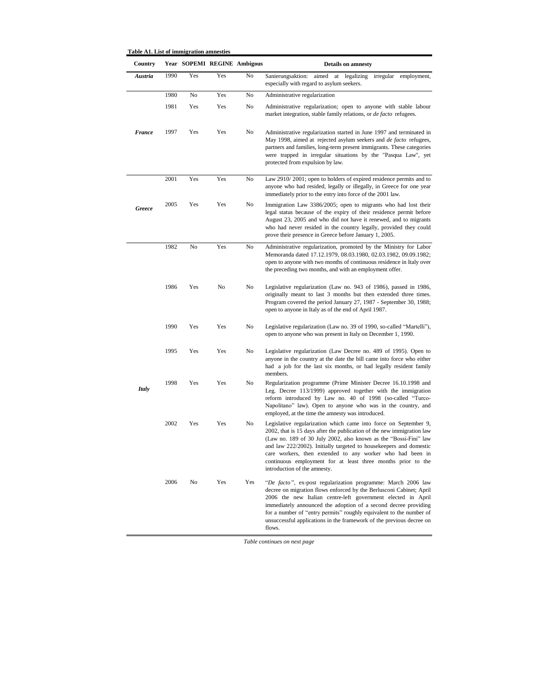**Table A1. List of immigration amnesties**

| Country       |      |     |     | Year SOPEMI REGINE Ambigous | <b>Details on amnesty</b>                                                                                                                                                                                                                                                                                                                                                                                                                         |
|---------------|------|-----|-----|-----------------------------|---------------------------------------------------------------------------------------------------------------------------------------------------------------------------------------------------------------------------------------------------------------------------------------------------------------------------------------------------------------------------------------------------------------------------------------------------|
| Austria       | 1990 | Yes | Yes | No                          | irregular<br>Sanierungsaktion: aimed at legalizing<br>employment,<br>especially with regard to asylum seekers.                                                                                                                                                                                                                                                                                                                                    |
|               | 1980 | No  | Yes | No                          | Administrative regularization                                                                                                                                                                                                                                                                                                                                                                                                                     |
|               | 1981 | Yes | Yes | No                          | Administrative regularization; open to anyone with stable labour<br>market integration, stable family relations, or <i>de facto</i> refugees.                                                                                                                                                                                                                                                                                                     |
| <b>France</b> | 1997 | Yes | Yes | No                          | Administrative regularization started in June 1997 and terminated in<br>May 1998, aimed at rejected asylum seekers and <i>de facto</i> refugees,<br>partners and families, long-term present immigrants. These categories<br>were trapped in irregular situations by the "Pasqua Law", yet<br>protected from expulsion by law.                                                                                                                    |
|               | 2001 | Yes | Yes | No                          | Law 2910/2001; open to holders of expired residence permits and to<br>anyone who had resided, legally or illegally, in Greece for one year<br>immediately prior to the entry into force of the 2001 law.                                                                                                                                                                                                                                          |
| Greece        | 2005 | Yes | Yes | No                          | Immigration Law 3386/2005; open to migrants who had lost their<br>legal status because of the expiry of their residence permit before<br>August 23, 2005 and who did not have it renewed, and to migrants<br>who had never resided in the country legally, provided they could<br>prove their presence in Greece before January 1, 2005.                                                                                                          |
|               | 1982 | No  | Yes | No                          | Administrative regularization, promoted by the Ministry for Labor<br>Memoranda dated 17.12.1979, 08.03.1980, 02.03.1982, 09.09.1982;<br>open to anyone with two months of continuous residence in Italy over<br>the preceding two months, and with an employment offer.                                                                                                                                                                           |
|               | 1986 | Yes | No  | No                          | Legislative regularization (Law no. 943 of 1986), passed in 1986,<br>originally meant to last 3 months but then extended three times.<br>Program covered the period January 27, 1987 - September 30, 1988;<br>open to anyone in Italy as of the end of April 1987.                                                                                                                                                                                |
|               | 1990 | Yes | Yes | No                          | Legislative regularization (Law no. 39 of 1990, so-called "Martelli"),<br>open to anyone who was present in Italy on December 1, 1990.                                                                                                                                                                                                                                                                                                            |
|               | 1995 | Yes | Yes | No                          | Legislative regularization (Law Decree no. 489 of 1995). Open to<br>anyone in the country at the date the bill came into force who either<br>had a job for the last six months, or had legally resident family<br>members.                                                                                                                                                                                                                        |
| <b>Italy</b>  | 1998 | Yes | Yes | No                          | Regularization programme (Prime Minister Decree 16.10.1998 and<br>Leg. Decree 113/1999) approved together with the immigration<br>reform introduced by Law no. 40 of 1998 (so-called "Turco-<br>Napolitano" law). Open to anyone who was in the country, and<br>employed, at the time the amnesty was introduced.                                                                                                                                 |
|               | 2002 | Yes | Yes | No                          | Legislative regularization which came into force on September 9,<br>2002, that is 15 days after the publication of the new immigration law<br>(Law no. 189 of 30 July 2002, also known as the "Bossi-Fini" law<br>and law 222/2002). Initially targeted to housekeepers and domestic<br>care workers, then extended to any worker who had been in<br>continuous employment for at least three months prior to the<br>introduction of the amnesty. |
|               | 2006 | No  | Yes | Yes                         | "De facto", ex-post regularization programme: March 2006 law<br>decree on migration flows enforced by the Berlusconi Cabinet; April<br>2006 the new Italian centre-left government elected in April<br>immediately announced the adoption of a second decree providing<br>for a number of "entry permits" roughly equivalent to the number of<br>unsuccessful applications in the framework of the previous decree on<br>flows.                   |

*Table continues on next page*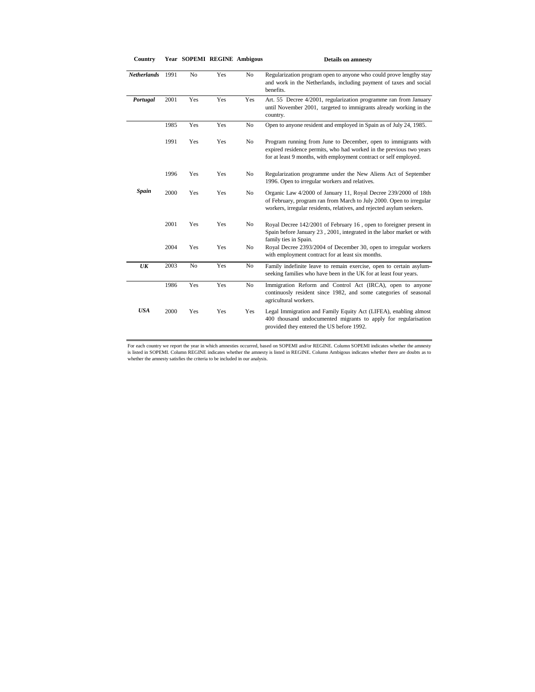#### **Country Year SOPEMI REGINE Ambigous Details on amnesty**

 $\equiv$ 

| <b>Netherlands</b> | 1991 | N <sub>o</sub> | Yes | N <sub>o</sub> | Regularization program open to anyone who could prove lengthy stay<br>and work in the Netherlands, including payment of taxes and social<br>benefits.                                                           |
|--------------------|------|----------------|-----|----------------|-----------------------------------------------------------------------------------------------------------------------------------------------------------------------------------------------------------------|
| Portugal           | 2001 | Yes            | Yes | Yes            | Art. 55 Decree 4/2001, regularization programme ran from January<br>until November 2001, targeted to immigrants already working in the<br>country.                                                              |
|                    | 1985 | Yes            | Yes | No             | Open to anyone resident and employed in Spain as of July 24, 1985.                                                                                                                                              |
|                    | 1991 | Yes            | Yes | N <sub>o</sub> | Program running from June to December, open to immigrants with<br>expired residence permits, who had worked in the previous two years<br>for at least 9 months, with employment contract or self employed.      |
|                    | 1996 | Yes            | Yes | No             | Regularization programme under the New Aliens Act of September<br>1996. Open to irregular workers and relatives.                                                                                                |
| <b>Spain</b>       | 2000 | Yes            | Yes | No             | Organic Law 4/2000 of January 11, Royal Decree 239/2000 of 18th<br>of February, program ran from March to July 2000. Open to irregular<br>workers, irregular residents, relatives, and rejected asylum seekers. |
|                    | 2001 | Yes            | Yes | No             | Royal Decree 142/2001 of February 16, open to foreigner present in<br>Spain before January 23, 2001, integrated in the labor market or with<br>family ties in Spain.                                            |
|                    | 2004 | Yes            | Yes | No             | Royal Decree 2393/2004 of December 30, open to irregular workers<br>with employment contract for at least six months.                                                                                           |
| UK                 | 2003 | N <sub>o</sub> | Yes | No             | Family indefinite leave to remain exercise, open to certain asylum-<br>seeking families who have been in the UK for at least four years.                                                                        |
|                    | 1986 | Yes            | Yes | No             | Immigration Reform and Control Act (IRCA), open to anyone<br>continuosly resident since 1982, and some categories of seasonal<br>agricultural workers.                                                          |
| <b>USA</b>         | 2000 | Yes            | Yes | Yes            | Legal Immigration and Family Equity Act (LIFEA), enabling almost<br>400 thousand undocumented migrants to apply for regularisation<br>provided they entered the US before 1992.                                 |

For each country we report the year in which amnesties occurred, based on SOPEMI and/or REGINE. Column SOPEMI indicates whether the amnesty<br>is listed in SOPEMI. Column REGINE indicates whether the amnesty is listed in REGI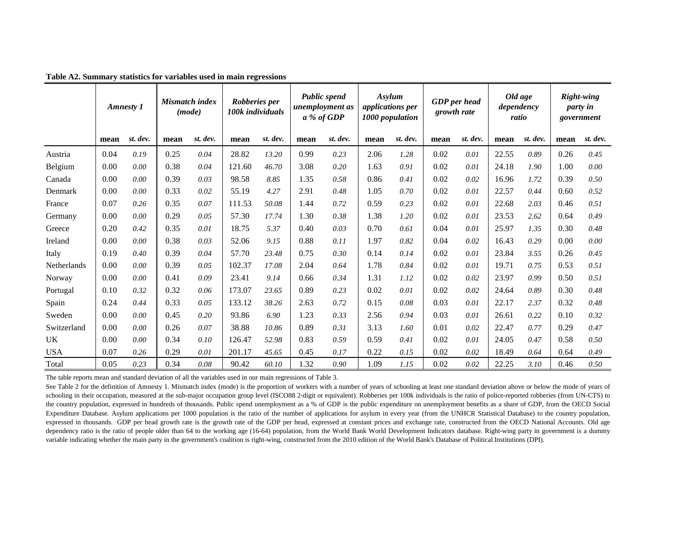|                    | <b>Amnesty 1</b> |          | Mismatch index<br>(mod e) |          | Robberies per<br>100k individuals |          | <b>Public spend</b><br>unemployment as<br>a % of GDP |          | Asylum<br><i>applications per</i><br>1000 population |          | <b>GDP</b> per head<br>growth rate |          | Old age<br>dependency<br>ratio |          | Right-wing<br>party in<br>government |          |
|--------------------|------------------|----------|---------------------------|----------|-----------------------------------|----------|------------------------------------------------------|----------|------------------------------------------------------|----------|------------------------------------|----------|--------------------------------|----------|--------------------------------------|----------|
|                    | mean             | st. dev. | mean                      | st. dev. | mean                              | st. dev. | mean                                                 | st. dev. | mean                                                 | st. dev. | mean                               | st. dev. | mean                           | st. dev. | mean                                 | st. dev. |
| Austria            | 0.04             | 0.19     | 0.25                      | 0.04     | 28.82                             | 13.20    | 0.99                                                 | 0.23     | 2.06                                                 | 1.28     | 0.02                               | 0.01     | 22.55                          | 0.89     | 0.26                                 | 0.45     |
| Belgium            | 0.00             | 0.00     | 0.38                      | 0.04     | 121.60                            | 46.70    | 3.08                                                 | 0.20     | 1.63                                                 | 0.91     | 0.02                               | 0.01     | 24.18                          | 1.90     | 1.00                                 | 0.00     |
| Canada             | 0.00             | 0.00     | 0.39                      | 0.03     | 98.58                             | 8.85     | 1.35                                                 | 0.58     | 0.86                                                 | 0.41     | 0.02                               | 0.02     | 16.96                          | 1.72     | 0.39                                 | 0.50     |
| Denmark            | 0.00             | 0.00     | 0.33                      | 0.02     | 55.19                             | 4.27     | 2.91                                                 | 0.48     | 1.05                                                 | 0.70     | 0.02                               | 0.01     | 22.57                          | 0.44     | 0.60                                 | 0.52     |
| France             | 0.07             | 0.26     | 0.35                      | 0.07     | 111.53                            | 50.08    | 1.44                                                 | 0.72     | 0.59                                                 | 0.23     | 0.02                               | 0.01     | 22.68                          | 2.03     | 0.46                                 | 0.51     |
| Germany            | 0.00             | 0.00     | 0.29                      | 0.05     | 57.30                             | 17.74    | 1.30                                                 | 0.38     | 1.38                                                 | 1.20     | 0.02                               | 0.01     | 23.53                          | 2.62     | 0.64                                 | 0.49     |
| Greece             | 0.20             | 0.42     | 0.35                      | 0.01     | 18.75                             | 5.37     | 0.40                                                 | 0.03     | 0.70                                                 | 0.61     | 0.04                               | 0.01     | 25.97                          | 1.35     | 0.30                                 | 0.48     |
| Ireland            | 0.00             | 0.00     | 0.38                      | 0.03     | 52.06                             | 9.15     | 0.88                                                 | 0.11     | 1.97                                                 | 0.82     | 0.04                               | 0.02     | 16.43                          | 0.29     | 0.00                                 | 0.00     |
| Italy              | 0.19             | 0.40     | 0.39                      | 0.04     | 57.70                             | 23.48    | 0.75                                                 | 0.30     | 0.14                                                 | 0.14     | 0.02                               | 0.01     | 23.84                          | 3.55     | 0.26                                 | 0.45     |
| <b>Netherlands</b> | 0.00             | 0.00     | 0.39                      | 0.05     | 102.37                            | 17.08    | 2.04                                                 | 0.64     | 1.78                                                 | 0.84     | 0.02                               | 0.01     | 19.71                          | 0.75     | 0.53                                 | 0.51     |
| Norway             | 0.00             | 0.00     | 0.41                      | 0.09     | 23.41                             | 9.14     | 0.66                                                 | 0.34     | 1.31                                                 | 1.12     | 0.02                               | 0.02     | 23.97                          | 0.99     | 0.50                                 | 0.51     |
| Portugal           | 0.10             | 0.32     | 0.32                      | 0.06     | 173.07                            | 23.65    | 0.89                                                 | 0.23     | 0.02                                                 | 0.01     | 0.02                               | 0.02     | 24.64                          | 0.89     | 0.30                                 | 0.48     |
| Spain              | 0.24             | 0.44     | 0.33                      | 0.05     | 133.12                            | 38.26    | 2.63                                                 | 0.72     | 0.15                                                 | 0.08     | 0.03                               | 0.01     | 22.17                          | 2.37     | 0.32                                 | 0.48     |
| Sweden             | 0.00             | 0.00     | 0.45                      | 0.20     | 93.86                             | 6.90     | 1.23                                                 | 0.33     | 2.56                                                 | 0.94     | 0.03                               | 0.01     | 26.61                          | 0.22     | 0.10                                 | 0.32     |
| Switzerland        | 0.00             | 0.00     | 0.26                      | 0.07     | 38.88                             | 10.86    | 0.89                                                 | 0.31     | 3.13                                                 | 1.60     | 0.01                               | 0.02     | 22.47                          | 0.77     | 0.29                                 | 0.47     |
| <b>UK</b>          | 0.00             | 0.00     | 0.34                      | 0.10     | 126.47                            | 52.98    | 0.83                                                 | 0.59     | 0.59                                                 | 0.41     | 0.02                               | 0.01     | 24.05                          | 0.47     | 0.58                                 | 0.50     |
| <b>USA</b>         | 0.07             | 0.26     | 0.29                      | 0.01     | 201.17                            | 45.65    | 0.45                                                 | 0.17     | 0.22                                                 | 0.15     | 0.02                               | 0.02     | 18.49                          | 0.64     | 0.64                                 | 0.49     |
| Total              | 0.05             | 0.23     | 0.34                      | 0.08     | 90.42                             | 60.10    | 1.32                                                 | 0.90     | 1.09                                                 | 1.15     | 0.02                               | 0.02     | 22.25                          | 3.10     | 0.46                                 | 0.50     |

**Table A2. Summary statistics for variables used in main regressions**

The table reports mean and standard deviation of all the variables used in our main regressions of Table 3.

See Table 2 for the definition of Amnesty 1. Mismatch index (mode) is the proportion of workers with a number of years of schooling at least one standard deviation above or below the mode of years of schooling in their occupation, measured at the sub-major occupation group level (ISCO88 2-digit or equivalent). Robberies per 100k individuals is the ratio of police-reported robberies (from UN-CTS) to the country population, expressed in hundreds of thousands. Public spend unemployment as a % of GDP is the public expenditure on unemployment benefits as a share of GDP, from the OECD Social Expenditure Database. Asylum applications per 1000 population is the ratio of the number of applications for asylum in every year (from the UNHCR Statistical Database) to the country population, expressed in thousands. GDP per head growth rate is the growth rate of the GDP per head, expressed at constant prices and exchange rate, constructed from the OECD National Accounts. Old age dependency ratio is the ratio of people older than 64 to the working age (16-64) population, from the World Bank World Development Indicators database. Right-wing party in government is a dummy variable indicating whether the main party in the government's coalition is right-wing, constructed from the 2010 edition of the World Bank's Database of Political Institutions (DPI).